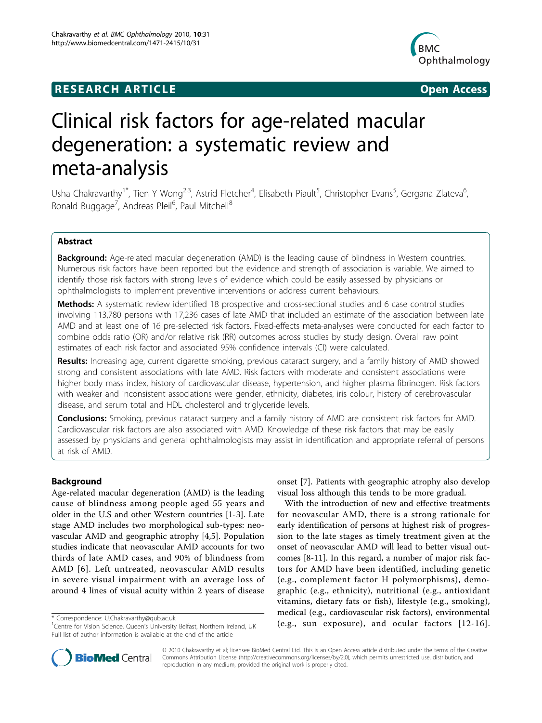## **RESEARCH ARTICLE Example 2014 CONSUMING ACCESS**



# Clinical risk factors for age-related macular degeneration: a systematic review and meta-analysis

Usha Chakravarthy<sup>1\*</sup>, Tien Y Wong<sup>2,3</sup>, Astrid Fletcher<sup>4</sup>, Elisabeth Piault<sup>5</sup>, Christopher Evans<sup>5</sup>, Gergana Zlateva<sup>6</sup> י<br>, Ronald Buggage<sup>7</sup>, Andreas Pleil<sup>6</sup>, Paul Mitchell<sup>8</sup>

## Abstract

**Background:** Age-related macular degeneration (AMD) is the leading cause of blindness in Western countries. Numerous risk factors have been reported but the evidence and strength of association is variable. We aimed to identify those risk factors with strong levels of evidence which could be easily assessed by physicians or ophthalmologists to implement preventive interventions or address current behaviours.

Methods: A systematic review identified 18 prospective and cross-sectional studies and 6 case control studies involving 113,780 persons with 17,236 cases of late AMD that included an estimate of the association between late AMD and at least one of 16 pre-selected risk factors. Fixed-effects meta-analyses were conducted for each factor to combine odds ratio (OR) and/or relative risk (RR) outcomes across studies by study design. Overall raw point estimates of each risk factor and associated 95% confidence intervals (CI) were calculated.

Results: Increasing age, current cigarette smoking, previous cataract surgery, and a family history of AMD showed strong and consistent associations with late AMD. Risk factors with moderate and consistent associations were higher body mass index, history of cardiovascular disease, hypertension, and higher plasma fibrinogen. Risk factors with weaker and inconsistent associations were gender, ethnicity, diabetes, iris colour, history of cerebrovascular disease, and serum total and HDL cholesterol and triglyceride levels.

Conclusions: Smoking, previous cataract surgery and a family history of AMD are consistent risk factors for AMD. Cardiovascular risk factors are also associated with AMD. Knowledge of these risk factors that may be easily assessed by physicians and general ophthalmologists may assist in identification and appropriate referral of persons at risk of AMD.

## Background

Age-related macular degeneration (AMD) is the leading cause of blindness among people aged 55 years and older in the U.S and other Western countries [\[1](#page-10-0)-[3\]](#page-10-0). Late stage AMD includes two morphological sub-types: neovascular AMD and geographic atrophy [[4,5\]](#page-10-0). Population studies indicate that neovascular AMD accounts for two thirds of late AMD cases, and 90% of blindness from AMD [[6](#page-10-0)]. Left untreated, neovascular AMD results in severe visual impairment with an average loss of around 4 lines of visual acuity within 2 years of disease

onset [\[7](#page-10-0)]. Patients with geographic atrophy also develop visual loss although this tends to be more gradual.

With the introduction of new and effective treatments for neovascular AMD, there is a strong rationale for early identification of persons at highest risk of progression to the late stages as timely treatment given at the onset of neovascular AMD will lead to better visual outcomes [[8-11\]](#page-10-0). In this regard, a number of major risk factors for AMD have been identified, including genetic (e.g., complement factor H polymorphisms), demographic (e.g., ethnicity), nutritional (e.g., antioxidant vitamins, dietary fats or fish), lifestyle (e.g., smoking), medical (e.g., cardiovascular risk factors), environmental \* Correspondence: U.Chakravarthy@qub.ac.uk<br><sup>1</sup>Centre for Vision Science Queen's University Relfast Northern Ireland UK (e.g., sun exposure), and ocular factors [[12](#page-10-0)-[16\]](#page-10-0).



© 2010 Chakravarthy et al; licensee BioMed Central Ltd. This is an Open Access article distributed under the terms of the Creative Commons Attribution License [\(http://creativecommons.org/licenses/by/2.0](http://creativecommons.org/licenses/by/2.0)), which permits unrestricted use, distribution, and reproduction in any medium, provided the original work is properly cited.

<sup>&</sup>lt;sup>1</sup>Centre for Vision Science, Queen's University Belfast, Northern Ireland, UK Full list of author information is available at the end of the article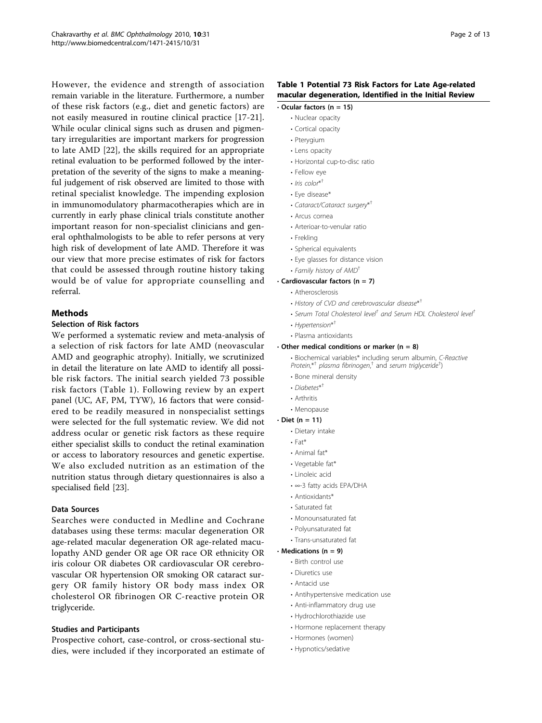However, the evidence and strength of association remain variable in the literature. Furthermore, a number of these risk factors (e.g., diet and genetic factors) are not easily measured in routine clinical practice [\[17](#page-10-0)-[21](#page-10-0)]. While ocular clinical signs such as drusen and pigmentary irregularities are important markers for progression to late AMD [[22\]](#page-10-0), the skills required for an appropriate retinal evaluation to be performed followed by the interpretation of the severity of the signs to make a meaningful judgement of risk observed are limited to those with retinal specialist knowledge. The impending explosion in immunomodulatory pharmacotherapies which are in currently in early phase clinical trials constitute another important reason for non-specialist clinicians and general ophthalmologists to be able to refer persons at very high risk of development of late AMD. Therefore it was our view that more precise estimates of risk for factors that could be assessed through routine history taking would be of value for appropriate counselling and referral.

## Methods

## Selection of Risk factors

We performed a systematic review and meta-analysis of a selection of risk factors for late AMD (neovascular AMD and geographic atrophy). Initially, we scrutinized in detail the literature on late AMD to identify all possible risk factors. The initial search yielded 73 possible risk factors (Table 1). Following review by an expert panel (UC, AF, PM, TYW), 16 factors that were considered to be readily measured in nonspecialist settings were selected for the full systematic review. We did not address ocular or genetic risk factors as these require either specialist skills to conduct the retinal examination or access to laboratory resources and genetic expertise. We also excluded nutrition as an estimation of the nutrition status through dietary questionnaires is also a specialised field [[23\]](#page-10-0).

## Data Sources

Searches were conducted in Medline and Cochrane databases using these terms: macular degeneration OR age-related macular degeneration OR age-related maculopathy AND gender OR age OR race OR ethnicity OR iris colour OR diabetes OR cardiovascular OR cerebrovascular OR hypertension OR smoking OR cataract surgery OR family history OR body mass index OR cholesterol OR fibrinogen OR C-reactive protein OR triglyceride.

## Studies and Participants

Prospective cohort, case-control, or cross-sectional studies, were included if they incorporated an estimate of

## Table 1 Potential 73 Risk Factors for Late Age-related macular degeneration, Identified in the Initial Review

#### $\cdot$  Ocular factors (n = 15)

- Nuclear opacity
- Cortical opacity
- Pterygium
- Lens opacity
- Horizontal cup-to-disc ratio
- Fellow eye
- Iris color $*^{\dagger}$
- Eye disease\*
- Cataract/Cataract surgery\*<sup>†</sup>
- Arcus cornea
- Arterioar-to-venular ratio
- Frekling
- Spherical equivalents
- Eye glasses for distance vision
- Family history of AMD†

## $\cdot$  Cardiovascular factors (n = 7)

- Atherosclerosis
- History of CVD and cerebrovascular disease\*<sup>†</sup>
- Serum Total Cholesterol level<sup>†</sup> and Serum HDL Cholesterol level<sup>†</sup>
- Hypertension\*<sup>†</sup>
- Plasma antioxidants

#### $\cdot$  Other medical conditions or marker (n = 8)

• Biochemical variables\* including serum albumin, C-Reactive Protein,\*<sup>†</sup> plasma fibrinogen,<sup>†</sup> and serum triglyceride<sup>†</sup>)

- Bone mineral density
- Diabetes\*<sup>†</sup>
- Arthritis
- Menopause

#### $\cdot$  Diet (n = 11)

- Dietary intake
- $\cdot$  Fat\*
- Animal fat\*
- Vegetable fat\*
- Linoleic acid
- ∞-3 fatty acids EPA/DHA
- Antioxidants\*
- Saturated fat
- Monounsaturated fat
- Polyunsaturated fat
- Trans-unsaturated fat

#### $\cdot$  Medications (n = 9)

- Birth control use
- Diuretics use
- Antacid use
- Antihypertensive medication use
- Anti-inflammatory drug use
- Hydrochlorothiazide use
- Hormone replacement therapy
- Hormones (women)
- Hypnotics/sedative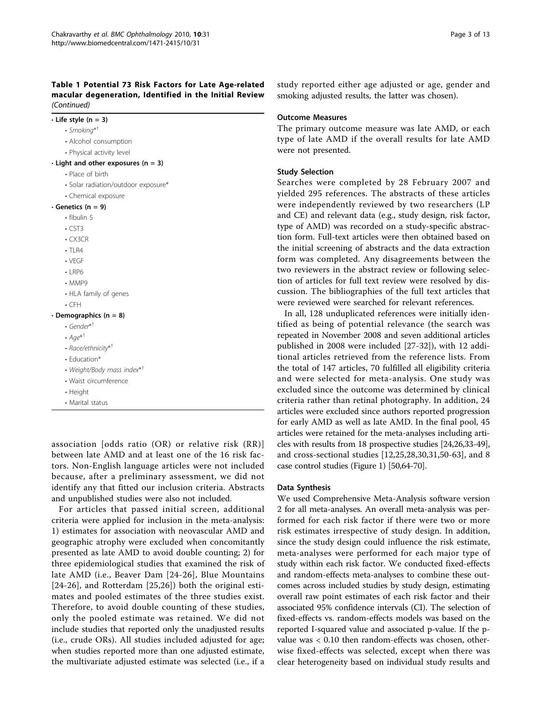#### Table 1 Potential 73 Risk Factors for Late Age-related macular degeneration, Identified in the Initial Review (Continued)

| $\cdot$ Life style (n = 3)                |  |
|-------------------------------------------|--|
| $\cdot$ Smoking* <sup>†</sup>             |  |
| • Alcohol consumption                     |  |
| • Physical activity level                 |  |
| $\cdot$ Light and other exposures (n = 3) |  |
| • Place of birth                          |  |
| • Solar radiation/outdoor exposure*       |  |
| • Chemical exposure                       |  |
| $\cdot$ Genetics (n = 9)                  |  |
| $\cdot$ fibulin 5                         |  |
| $\cdot$ CST3                              |  |
| $\cdot$ CX3CR                             |  |
| $\cdot$ TI R4                             |  |
| $\cdot$ VEGF                              |  |
| $\cdot$ LRP6                              |  |
| $\cdot$ MMP9                              |  |
| • HLA family of genes                     |  |
| $\cdot$ CFH                               |  |
| $\cdot$ Demographics (n = 8)              |  |
| $\cdot$ Gender* <sup>†</sup>              |  |
| $\cdot$ Age <sup>*†</sup>                 |  |
| • Race/ethnicity* <sup>†</sup>            |  |
| • Education*                              |  |
| • Weight/Body mass index* <sup>+</sup>    |  |
| • Waist circumference                     |  |
| • Height                                  |  |
| • Marital status                          |  |
|                                           |  |

association [odds ratio (OR) or relative risk (RR)] between late AMD and at least one of the 16 risk factors. Non-English language articles were not included because, after a preliminary assessment, we did not identify any that fitted our inclusion criteria. Abstracts and unpublished studies were also not included.

For articles that passed initial screen, additional criteria were applied for inclusion in the meta-analysis: 1) estimates for association with neovascular AMD and geographic atrophy were excluded when concomitantly presented as late AMD to avoid double counting; 2) for three epidemiological studies that examined the risk of late AMD (i.e., Beaver Dam [\[24-](#page-10-0)[26](#page-11-0)], Blue Mountains [[24](#page-10-0)-[26](#page-11-0)], and Rotterdam [[25,26\]](#page-11-0)) both the original estimates and pooled estimates of the three studies exist. Therefore, to avoid double counting of these studies, only the pooled estimate was retained. We did not include studies that reported only the unadjusted results (i.e., crude ORs). All studies included adjusted for age; when studies reported more than one adjusted estimate, the multivariate adjusted estimate was selected (i.e., if a

study reported either age adjusted or age, gender and smoking adjusted results, the latter was chosen).

## Outcome Measures

The primary outcome measure was late AMD, or each type of late AMD if the overall results for late AMD were not presented.

## Study Selection

Searches were completed by 28 February 2007 and yielded 295 references. The abstracts of these articles were independently reviewed by two researchers (LP and CE) and relevant data (e.g., study design, risk factor, type of AMD) was recorded on a study-specific abstraction form. Full-text articles were then obtained based on the initial screening of abstracts and the data extraction form was completed. Any disagreements between the two reviewers in the abstract review or following selection of articles for full text review were resolved by discussion. The bibliographies of the full text articles that were reviewed were searched for relevant references.

In all, 128 unduplicated references were initially identified as being of potential relevance (the search was repeated in November 2008 and seven additional articles published in 2008 were included [\[27](#page-11-0)-[32\]](#page-11-0)), with 12 additional articles retrieved from the reference lists. From the total of 147 articles, 70 fulfilled all eligibility criteria and were selected for meta-analysis. One study was excluded since the outcome was determined by clinical criteria rather than retinal photography. In addition, 24 articles were excluded since authors reported progression for early AMD as well as late AMD. In the final pool, 45 articles were retained for the meta-analyses including articles with results from 18 prospective studies [\[24](#page-10-0)[,26,33](#page-11-0)-[49](#page-11-0)], and cross-sectional studies [\[12](#page-10-0),[25,28,30,31,50](#page-11-0)-[63\]](#page-11-0), and 8 case control studies (Figure [1](#page-3-0)) [[50,64](#page-11-0)-[70](#page-12-0)].

#### Data Synthesis

We used Comprehensive Meta-Analysis software version 2 for all meta-analyses. An overall meta-analysis was performed for each risk factor if there were two or more risk estimates irrespective of study design. In addition, since the study design could influence the risk estimate, meta-analyses were performed for each major type of study within each risk factor. We conducted fixed-effects and random-effects meta-analyses to combine these outcomes across included studies by study design, estimating overall raw point estimates of each risk factor and their associated 95% confidence intervals (CI). The selection of fixed-effects vs. random-effects models was based on the reported I-squared value and associated p-value. If the pvalue was < 0.10 then random-effects was chosen, otherwise fixed-effects was selected, except when there was clear heterogeneity based on individual study results and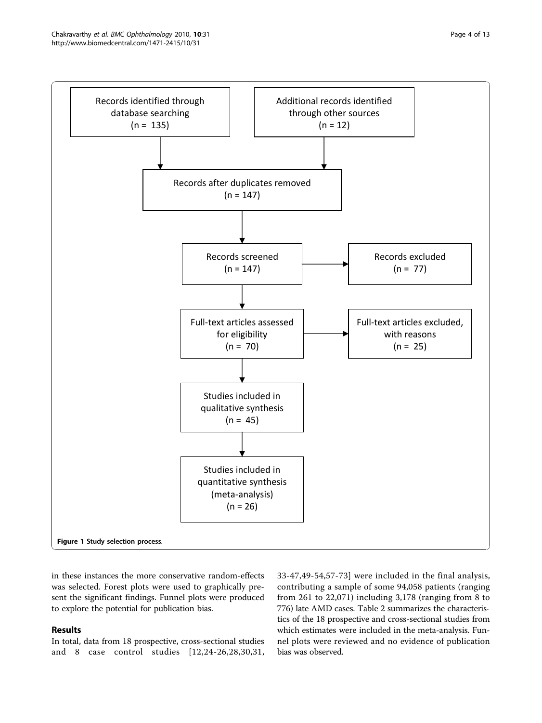<span id="page-3-0"></span>

in these instances the more conservative random-effects was selected. Forest plots were used to graphically present the significant findings. Funnel plots were produced to explore the potential for publication bias.

## Results

In total, data from 18 prospective, cross-sectional studies and 8 case control studies [[12,24-](#page-10-0)[26](#page-11-0),[28](#page-11-0),[30](#page-11-0),[31](#page-11-0), [33-47](#page-11-0),[49-54,57-](#page-11-0)[73\]](#page-12-0) were included in the final analysis, contributing a sample of some 94,058 patients (ranging from 261 to 22,071) including 3,178 (ranging from 8 to 776) late AMD cases. Table [2](#page-4-0) summarizes the characteristics of the 18 prospective and cross-sectional studies from which estimates were included in the meta-analysis. Funnel plots were reviewed and no evidence of publication bias was observed.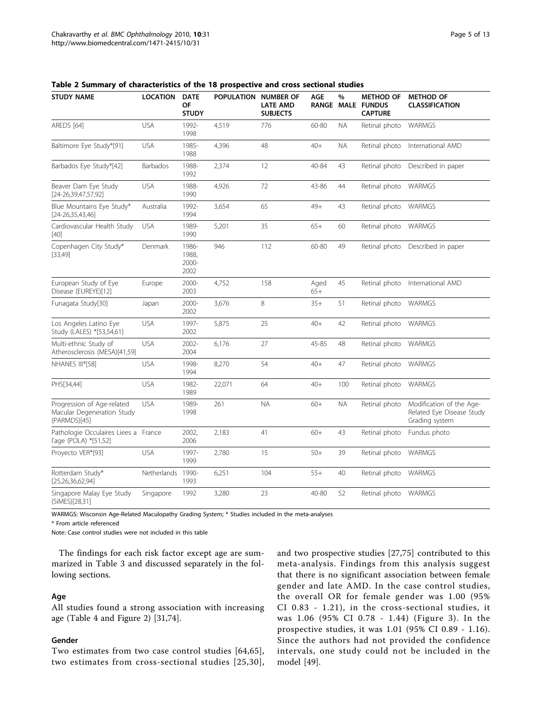| <b>STUDY NAME</b>                                                        | <b>LOCATION</b>   | <b>DATE</b><br>OF<br><b>STUDY</b> | POPULATION NUMBER OF | <b>LATE AMD</b><br><b>SUBJECTS</b> | <b>AGE</b>    | %         | <b>METHOD OF</b><br><b>RANGE MALE FUNDUS</b><br><b>CAPTURE</b> | <b>METHOD OF</b><br><b>CLASSIFICATION</b>                               |
|--------------------------------------------------------------------------|-------------------|-----------------------------------|----------------------|------------------------------------|---------------|-----------|----------------------------------------------------------------|-------------------------------------------------------------------------|
| AREDS [64]                                                               | <b>USA</b>        | 1992-<br>1998                     | 4,519                | 776                                | 60-80         | <b>NA</b> | Retinal photo                                                  | WARMGS                                                                  |
| Baltimore Eye Study*[91]                                                 | <b>USA</b>        | 1985-<br>1988                     | 4,396                | 48                                 | $40+$         | <b>NA</b> | Retinal photo                                                  | International AMD                                                       |
| Barbados Eye Study*[42]                                                  | <b>Barbados</b>   | 1988-<br>1992                     | 2,374                | 12                                 | 40-84         | 43        | Retinal photo                                                  | Described in paper                                                      |
| Beaver Dam Eye Study<br>$[24 - 26, 39, 47, 57, 92]$                      | <b>USA</b>        | 1988-<br>1990                     | 4,926                | 72                                 | 43-86         | 44        | Retinal photo                                                  | WARMGS                                                                  |
| Blue Mountains Eye Study*<br>$[24 - 26, 35, 43, 46]$                     | Australia         | 1992-<br>1994                     | 3,654                | 65                                 | $49+$         | 43        | Retinal photo                                                  | WARMGS                                                                  |
| Cardiovascular Health Study<br>[40]                                      | <b>USA</b>        | 1989-<br>1990                     | 5,201                | 35                                 | $65+$         | 60        | Retinal photo                                                  | WARMGS                                                                  |
| Copenhagen City Study*<br>[33,49]                                        | Denmark           | 1986-<br>1988,<br>2000-<br>2002   | 946                  | 112                                | 60-80         | 49        | Retinal photo                                                  | Described in paper                                                      |
| European Study of Eye<br>Disease (EUREYE)[12]                            | Europe            | $2000 -$<br>2003                  | 4,752                | 158                                | Aged<br>$65+$ | 45        | Retinal photo                                                  | International AMD                                                       |
| Funagata Study[30]                                                       | Japan             | 2000-<br>2002                     | 3,676                | 8                                  | $35+$         | 51        | Retinal photo                                                  | <b>WARMGS</b>                                                           |
| Los Angeles Latino Eye<br>Study (LALES) *[53,54,61]                      | <b>USA</b>        | 1997-<br>2002                     | 5,875                | 25                                 | $40+$         | 42        | Retinal photo                                                  | <b>WARMGS</b>                                                           |
| Multi-ethnic Study of<br>Atherosclerosis (MESA)[41,59]                   | <b>USA</b>        | 2002-<br>2004                     | 6,176                | 27                                 | 45-85         | 48        | Retinal photo                                                  | WARMGS                                                                  |
| NHANES III*[58]                                                          | <b>USA</b>        | 1998-<br>1994                     | 8,270                | 54                                 | $40+$         | 47        | Retinal photo                                                  | <b>WARMGS</b>                                                           |
| PHS[34,44]                                                               | <b>USA</b>        | 1982-<br>1989                     | 22,071               | 64                                 | $40+$         | 100       | Retinal photo                                                  | WARMGS                                                                  |
| Progression of Age-related<br>Macular Degeneration Study<br>(PARMDS)[45] | <b>USA</b>        | 1989-<br>1998                     | 261                  | <b>NA</b>                          | $60+$         | <b>NA</b> | Retinal photo                                                  | Modification of the Age-<br>Related Eye Disease Study<br>Grading system |
| Pathologie Occulaires Liees a France<br>l'age (POLA) *[51,52]            |                   | 2002,<br>2006                     | 2,183                | 41                                 | $60+$         | 43        | Retinal photo                                                  | Fundus photo                                                            |
| Proyecto VER*[93]                                                        | <b>USA</b>        | 1997-<br>1999                     | 2,780                | 15                                 | $50+$         | 39        | Retinal photo                                                  | WARMGS                                                                  |
| Rotterdam Study*<br>[25, 26, 36, 62, 94]                                 | Netherlands 1990- | 1993                              | 6,251                | 104                                | $55+$         | 40        | Retinal photo                                                  | <b>WARMGS</b>                                                           |
| Singapore Malay Eye Study<br>(SiMES)[28,31]                              | Singapore         | 1992                              | 3,280                | 23                                 | 40-80         | 52        | Retinal photo                                                  | WARMGS                                                                  |

#### <span id="page-4-0"></span>Table 2 Summary of characteristics of the 18 prospective and cross sectional studies

WARMGS: Wisconsin Age-Related Maculopathy Grading System; \* Studies included in the meta-analyses

\* From article referenced

Note: Case control studies were not included in this table

The findings for each risk factor except age are summarized in Table [3](#page-5-0) and discussed separately in the following sections.

#### Age

All studies found a strong association with increasing age (Table [4](#page-5-0) and Figure [2\)](#page-6-0) [\[31](#page-11-0)[,74\]](#page-12-0).

## Gender

Two estimates from two case control studies [[64](#page-11-0),[65\]](#page-11-0), two estimates from cross-sectional studies [[25](#page-11-0),[30\]](#page-11-0), and two prospective studies [[27,](#page-11-0)[75](#page-12-0)] contributed to this meta-analysis. Findings from this analysis suggest that there is no significant association between female gender and late AMD. In the case control studies, the overall OR for female gender was 1.00 (95% CI 0.83 - 1.21), in the cross-sectional studies, it was 1.06 (95% CI 0.78 - 1.44) (Figure [3](#page-6-0)). In the prospective studies, it was 1.01 (95% CI 0.89 - 1.16). Since the authors had not provided the confidence intervals, one study could not be included in the model [\[49](#page-11-0)].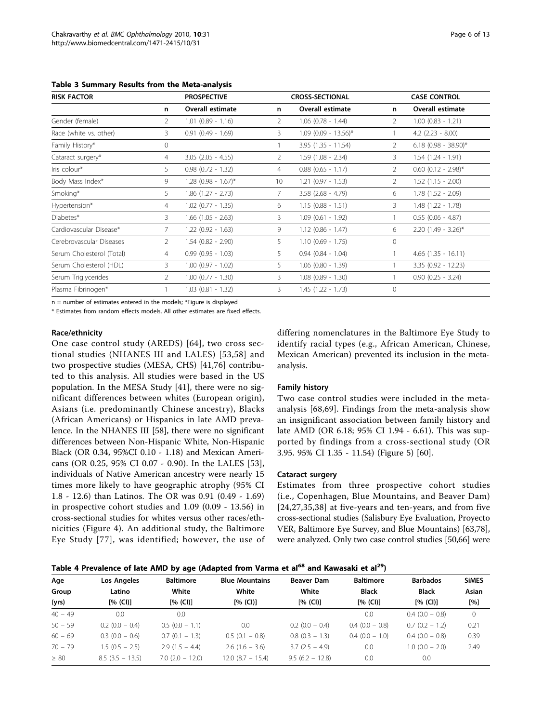| <b>RISK FACTOR</b>        |                | <b>PROSPECTIVE</b>      |                 | <b>CROSS-SECTIONAL</b>  |              | <b>CASE CONTROL</b>     |
|---------------------------|----------------|-------------------------|-----------------|-------------------------|--------------|-------------------------|
|                           | n              | <b>Overall estimate</b> | n               | <b>Overall estimate</b> | n            | <b>Overall estimate</b> |
| Gender (female)           | 2              | $1.01(0.89 - 1.16)$     | 2               | $1.06$ (0.78 - 1.44)    | 2            | $1.00$ $(0.83 - 1.21)$  |
| Race (white vs. other)    | 3              | $0.91(0.49 - 1.69)$     | 3               | $1.09$ (0.09 - 13.56)*  |              | $4.2$ (2.23 - 8.00)     |
| Family History*           | 0              |                         |                 | $3.95$ (1.35 - 11.54)   | 2            | $6.18$ (0.98 - 38.90)*  |
| Cataract surgery*         | $\overline{4}$ | $3.05$ $(2.05 - 4.55)$  | 2               | $1.59(1.08 - 2.34)$     | 3            | $1.54$ $(1.24 - 1.91)$  |
| Iris colour*              | 5              | $0.98$ $(0.72 - 1.32)$  | $\overline{4}$  | $0.88$ (0.65 - 1.17)    | 2            | $0.60$ (0.12 - 2.98)*   |
| Body Mass Index*          | 9              | $1.28$ (0.98 - 1.67)*   | 10 <sup>°</sup> | $1.21$ (0.97 - 1.53)    | 2            | $1.52$ $(1.15 - 2.00)$  |
| Smoking*                  | 5              | $1.86$ $(1.27 - 2.73)$  | 7               | $3.58$ $(2.68 - 4.79)$  | 6            | $1.78$ $(1.52 - 2.09)$  |
| Hypertension*             | 4              | $1.02$ (0.77 - 1.35)    | 6               | $1.15(0.88 - 1.51)$     | 3            | $1.48$ $(1.22 - 1.78)$  |
| Diabetes*                 | 3              | $1.66$ $(1.05 - 2.63)$  | $\mathbf{3}$    | $1.09$ (0.61 - 1.92)    |              | $0.55$ (0.06 - 4.87)    |
| Cardiovascular Disease*   | 7              | $1.22(0.92 - 1.63)$     | 9               | $1.12$ (0.86 - 1.47)    | 6            | $2.20$ (1.49 - 3.26)*   |
| Cerebrovascular Diseases  | 2              | $1.54$ (0.82 - 2.90)    | 5               | $1.10$ (0.69 - 1.75)    | $\Omega$     |                         |
| Serum Cholesterol (Total) | 4              | $0.99$ (0.95 - 1.03)    | 5.              | $0.94$ $(0.84 - 1.04)$  |              | $4.66$ $(1.35 - 16.11)$ |
| Serum Cholesterol (HDL)   | 3              | $1.00$ (0.97 - 1.02)    | 5               | $1.06$ $(0.80 - 1.39)$  |              | $3.35(0.92 - 12.23)$    |
| Serum Triglycerides       | $\overline{2}$ | $1.00$ $(0.77 - 1.30)$  | 3               | $1.08$ (0.89 - 1.30)    |              | $0.90$ $(0.25 - 3.24)$  |
| Plasma Fibrinogen*        |                | $1.03$ (0.81 - 1.32)    | 3               | $1.45(1.22 - 1.73)$     | $\mathbf{0}$ |                         |

<span id="page-5-0"></span>Table 3 Summary Results from the Meta-analysis

n = number of estimates entered in the models; \*Figure is displayed

\* Estimates from random effects models. All other estimates are fixed effects.

#### Race/ethnicity

One case control study (AREDS) [[64\]](#page-11-0), two cross sectional studies (NHANES III and LALES) [[53,58\]](#page-11-0) and two prospective studies (MESA, CHS) [[41,](#page-11-0)[76\]](#page-12-0) contributed to this analysis. All studies were based in the US population. In the MESA Study [[41](#page-11-0)], there were no significant differences between whites (European origin), Asians (i.e. predominantly Chinese ancestry), Blacks (African Americans) or Hispanics in late AMD prevalence. In the NHANES III [\[58](#page-11-0)], there were no significant differences between Non-Hispanic White, Non-Hispanic Black (OR 0.34, 95%CI 0.10 - 1.18) and Mexican Americans (OR 0.25, 95% CI 0.07 - 0.90). In the LALES [[53](#page-11-0)], individuals of Native American ancestry were nearly 15 times more likely to have geographic atrophy (95% CI 1.8 - 12.6) than Latinos. The OR was 0.91 (0.49 - 1.69) in prospective cohort studies and 1.09 (0.09 - 13.56) in cross-sectional studies for whites versus other races/ethnicities (Figure [4](#page-6-0)). An additional study, the Baltimore Eye Study [[77](#page-12-0)], was identified; however, the use of differing nomenclatures in the Baltimore Eye Study to identify racial types (e.g., African American, Chinese, Mexican American) prevented its inclusion in the metaanalysis.

#### Family history

Two case control studies were included in the metaanalysis [[68](#page-12-0),[69\]](#page-12-0). Findings from the meta-analysis show an insignificant association between family history and late AMD (OR 6.18; 95% CI 1.94 - 6.61). This was supported by findings from a cross-sectional study (OR 3.95. 95% CI 1.35 - 11.54) (Figure [5\)](#page-6-0) [\[60\]](#page-11-0).

## Cataract surgery

Estimates from three prospective cohort studies (i.e., Copenhagen, Blue Mountains, and Beaver Dam) [[24](#page-10-0),[27,35,38](#page-11-0)] at five-years and ten-years, and from five cross-sectional studies (Salisbury Eye Evaluation, Proyecto VER, Baltimore Eye Survey, and Blue Mountains) [[63](#page-11-0),[78](#page-12-0)], were analyzed. Only two case control studies [[50,66](#page-11-0)] were

| Table 4 Prevalence of late AMD by age (Adapted from Varma et al <sup>68</sup> and Kawasaki et al <sup>29</sup> ) |  |  |  |  |  |
|------------------------------------------------------------------------------------------------------------------|--|--|--|--|--|
|------------------------------------------------------------------------------------------------------------------|--|--|--|--|--|

| Age       | Los Angeles       | <b>Baltimore</b>   | <b>Blue Mountains</b> | <b>Beaver Dam</b> | <b>Baltimore</b>    | <b>Barbados</b>     | <b>SIMES</b> |
|-----------|-------------------|--------------------|-----------------------|-------------------|---------------------|---------------------|--------------|
| Group     | Latino            | White              | White                 | White             | <b>Black</b>        | <b>Black</b>        | Asian        |
| (yrs)     | [% (CI)]          | [% (CI)]           | [% (CI)]              | [% (CI)]          | [% (CI)]            | [% (CI)]            | [%]          |
| $40 - 49$ | 0.0               | 0.0                |                       |                   | 0.0                 | $0.4$ $(0.0 - 0.8)$ | $\circ$      |
| $50 - 59$ | $0.2$ (0.0 - 0.4) | $0.5(0.0 - 1.1)$   | 0.0                   | $0.2$ (0.0 - 0.4) | $0.4$ $(0.0 - 0.8)$ | $0.7(0.2 - 1.2)$    | 0.21         |
| $60 - 69$ | $0.3(0.0 - 0.6)$  | $0.7(0.1 - 1.3)$   | $0.5$ (0.1 - 0.8)     | $0.8(0.3 - 1.3)$  | $0.4(0.0 - 1.0)$    | $0.4(0.0 - 0.8)$    | 0.39         |
| $70 - 79$ | $1.5(0.5 - 2.5)$  | $2.9(1.5 - 4.4)$   | $2.6(1.6 - 3.6)$      | $3.7(2.5 - 4.9)$  | 0.0                 | $1.0$ (0.0 - 2.0)   | 2.49         |
| $\geq 80$ | $8.5(3.5 - 13.5)$ | $7.0$ (2.0 - 12.0) | $12.0 (8.7 - 15.4)$   | $9.5(6.2 - 12.8)$ | 0.0                 | 0.0                 |              |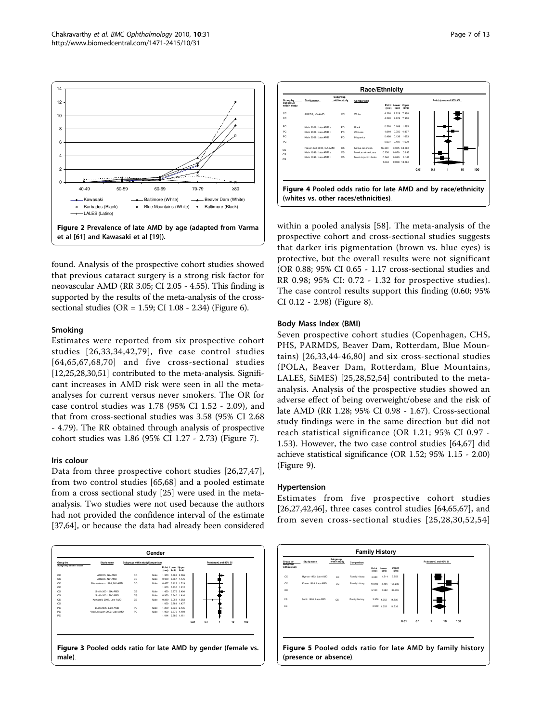<span id="page-6-0"></span>

found. Analysis of the prospective cohort studies showed that previous cataract surgery is a strong risk factor for neovascular AMD (RR 3.05; CI 2.05 - 4.55). This finding is supported by the results of the meta-analysis of the crosssectional studies (OR = 1.59; CI 1.08 - 2.34) (Figure [6](#page-7-0)).

#### Smoking

Estimates were reported from six prospective cohort studies [[26](#page-11-0),[33,34](#page-11-0),[42,](#page-11-0)[79\]](#page-12-0), five case control studies [[64](#page-11-0),[65](#page-11-0),[67,68](#page-12-0),[70](#page-12-0)] and five cross-sectional studies [[12,](#page-10-0)[25,28](#page-11-0),[30,51](#page-11-0)] contributed to the meta-analysis. Significant increases in AMD risk were seen in all the metaanalyses for current versus never smokers. The OR for case control studies was 1.78 (95% CI 1.52 - 2.09), and that from cross-sectional studies was 3.58 (95% CI 2.68 - 4.79). The RR obtained through analysis of prospective cohort studies was 1.86 (95% CI 1.27 - 2.73) (Figure [7](#page-7-0)).

## Iris colour

Data from three prospective cohort studies [[26,27](#page-11-0),[47](#page-11-0)], from two control studies [\[65](#page-11-0),[68\]](#page-12-0) and a pooled estimate from a cross sectional study [[25\]](#page-11-0) were used in the metaanalysis. Two studies were not used because the authors had not provided the confidence interval of the estimate [[37,64\]](#page-11-0), or because the data had already been considered

| Group by<br>Subgroup within study | Study name                                                    | Subgroup within studyComparison |      |             | Point Lower Upper |       |      |    | Point (raw) and 95% CI |    |     |
|-----------------------------------|---------------------------------------------------------------|---------------------------------|------|-------------|-------------------|-------|------|----|------------------------|----|-----|
|                                   |                                                               |                                 |      | (raw) limit |                   | limit |      |    |                        |    |     |
| CC                                | AREDS, GA-AMD                                                 | CC                              | Male | 1.350       | 0.882 2.066       |       |      |    |                        |    |     |
| CC                                | AREDS, NV-AMD                                                 | CC                              | Male |             | 0.950 0.767 1.176 |       |      |    |                        |    |     |
| CC                                | Blumenkranz 1986, NV-AMD                                      | CC                              | Male |             | 0.457 0.122 1.719 |       |      |    |                        |    |     |
| CC                                |                                                               |                                 |      |             | 1.003 0.830 1.212 |       |      |    |                        |    |     |
| CS                                | Smith 2001, GA-AMD                                            | CS                              | Male |             | 1,450 0.876 2.400 |       |      |    |                        |    |     |
| CS                                | Smith 2001, NV-AMD                                            | <b>CS</b>                       | Male |             | 0.950 0.640 1.410 |       |      |    |                        |    |     |
| CS                                | Kawasaki 2008, Late AMD                                       | <b>CS</b>                       | Male |             | 0.280 0.058 1.353 |       |      |    |                        |    |     |
| CS                                |                                                               |                                 |      |             | 1.059 0.781 1.437 |       |      |    |                        |    |     |
| PC.                               | Buch 2005, Late AMD                                           | PC.                             | Male |             | 1,250 0.732 2.135 |       |      |    |                        |    |     |
| PC                                | Van Leeuwen 2003, Late AMD                                    | PC                              | Male |             | 1,000 0,870 1,150 |       |      |    |                        |    |     |
| PC                                |                                                               |                                 |      |             | 1.014 0.886 1.161 |       |      |    |                        |    |     |
|                                   |                                                               |                                 |      |             |                   |       | 0.01 | 01 | $\overline{1}$         | 10 | 100 |
|                                   |                                                               |                                 |      |             |                   |       |      |    |                        |    |     |
|                                   |                                                               |                                 |      |             |                   |       |      |    |                        |    |     |
|                                   |                                                               |                                 |      |             |                   |       |      |    |                        |    |     |
|                                   |                                                               |                                 |      |             |                   |       |      |    |                        |    |     |
|                                   | Figure 3 Pooled odds ratio for late AMD by gender (female vs. |                                 |      |             |                   |       |      |    |                        |    |     |
|                                   |                                                               |                                 |      |             |                   |       |      |    |                        |    |     |



within a pooled analysis [[58](#page-11-0)]. The meta-analysis of the prospective cohort and cross-sectional studies suggests that darker iris pigmentation (brown vs. blue eyes) is protective, but the overall results were not significant (OR 0.88; 95% CI 0.65 - 1.17 cross-sectional studies and RR 0.98; 95% CI: 0.72 - 1.32 for prospective studies). The case control results support this finding (0.60; 95% CI 0.12 - 2.98) (Figure [8\)](#page-7-0).

#### Body Mass Index (BMI)

Seven prospective cohort studies (Copenhagen, CHS, PHS, PARMDS, Beaver Dam, Rotterdam, Blue Mountains) [[26](#page-11-0),[33,44-46](#page-11-0),[80\]](#page-12-0) and six cross-sectional studies (POLA, Beaver Dam, Rotterdam, Blue Mountains, LALES, SiMES) [[25](#page-11-0),[28,52,54\]](#page-11-0) contributed to the metaanalysis. Analysis of the prospective studies showed an adverse effect of being overweight/obese and the risk of late AMD (RR 1.28; 95% CI 0.98 - 1.67). Cross-sectional study findings were in the same direction but did not reach statistical significance (OR 1.21; 95% CI 0.97 - 1.53). However, the two case control studies [[64,](#page-11-0)[67\]](#page-12-0) did achieve statistical significance (OR 1.52; 95% 1.15 - 2.00) (Figure [9\)](#page-7-0).

#### Hypertension

Estimates from five prospective cohort studies [[26,27,42,46](#page-11-0)], three cases control studies [\[64](#page-11-0),[65,](#page-11-0)[67\]](#page-12-0), and from seven cross-sectional studies [[25](#page-11-0),[28](#page-11-0),[30,52](#page-11-0),[54](#page-11-0)]

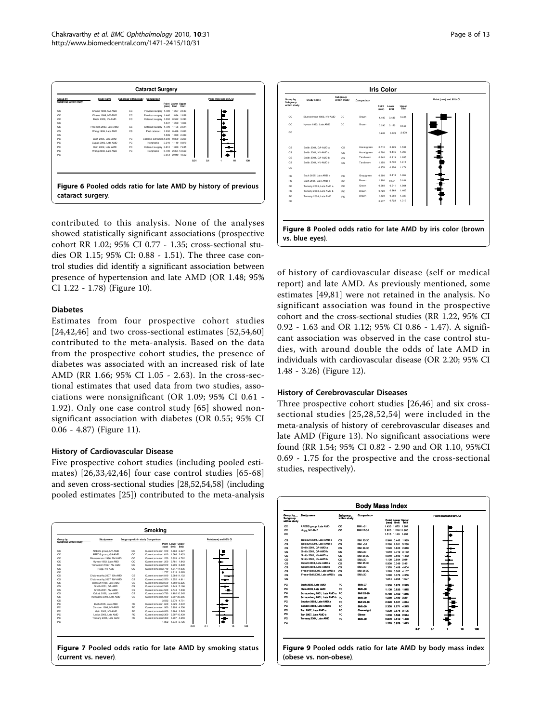<span id="page-7-0"></span>

| (raw) limit<br>limit<br>CC<br>Chaine 1998, GA-AMD<br>cc.<br>Previous surgery 1,780 1,227 2,583<br>CC<br>Chaine 1998, NV-AMD<br>Previous surgery 1.440 1.094 1.896<br>CC.<br>Baatz 2008, NV-AMD<br>Cataract surgery 1.300 0.522 3.240<br>1.537 1.239 1.906<br>Freeman 2003, Late AMD<br>CS<br>Cataract surgery 1,700 1,106 2,614<br>CS<br>Wang 1999, Late AMD<br>Past cataract<br>1,200 0,498 2,890<br>1.589 1.080 2.339<br>PC.<br>Buch 2005 Late AMD<br>Cataract extraction 1 600 0 800 3 200<br>PC.<br>Cugati 2006, Late AMD<br>Nonphakic<br>3,310 1,110 9,870 |
|-----------------------------------------------------------------------------------------------------------------------------------------------------------------------------------------------------------------------------------------------------------------------------------------------------------------------------------------------------------------------------------------------------------------------------------------------------------------------------------------------------------------------------------------------------------------|
| CC<br>CC<br>CC<br>CS<br>CS                                                                                                                                                                                                                                                                                                                                                                                                                                                                                                                                      |
|                                                                                                                                                                                                                                                                                                                                                                                                                                                                                                                                                                 |
|                                                                                                                                                                                                                                                                                                                                                                                                                                                                                                                                                                 |
|                                                                                                                                                                                                                                                                                                                                                                                                                                                                                                                                                                 |
|                                                                                                                                                                                                                                                                                                                                                                                                                                                                                                                                                                 |
| CS<br>PC.<br>PC                                                                                                                                                                                                                                                                                                                                                                                                                                                                                                                                                 |
|                                                                                                                                                                                                                                                                                                                                                                                                                                                                                                                                                                 |
|                                                                                                                                                                                                                                                                                                                                                                                                                                                                                                                                                                 |
|                                                                                                                                                                                                                                                                                                                                                                                                                                                                                                                                                                 |
| PC<br>Klein 2002, Late AMD<br>PC.<br>Cataract surgery 3,810 1,889 7,685                                                                                                                                                                                                                                                                                                                                                                                                                                                                                         |
| PC.<br>PC.<br>Wang 2003, Late AMD<br>5.700 2.394 13.569<br>Nonphakic                                                                                                                                                                                                                                                                                                                                                                                                                                                                                            |
| PC<br>3.054 2.049 4.552                                                                                                                                                                                                                                                                                                                                                                                                                                                                                                                                         |
| 0.01<br>01<br>10<br>1                                                                                                                                                                                                                                                                                                                                                                                                                                                                                                                                           |
|                                                                                                                                                                                                                                                                                                                                                                                                                                                                                                                                                                 |

contributed to this analysis. None of the analyses showed statistically significant associations (prospective cohort RR 1.02; 95% CI 0.77 - 1.35; cross-sectional studies OR 1.15; 95% CI: 0.88 - 1.51). The three case control studies did identify a significant association between presence of hypertension and late AMD (OR 1.48; 95% CI 1.22 - 1.78) (Figure [10\)](#page-8-0).

## Diabetes

Estimates from four prospective cohort studies [[24](#page-10-0)[,42,46\]](#page-11-0) and two cross-sectional estimates [\[52,54,60](#page-11-0)] contributed to the meta-analysis. Based on the data from the prospective cohort studies, the presence of diabetes was associated with an increased risk of late AMD (RR 1.66; 95% CI 1.05 - 2.63). In the cross-sectional estimates that used data from two studies, associations were nonsignificant (OR 1.09; 95% CI 0.61 - 1.92). Only one case control study [\[65\]](#page-11-0) showed nonsignificant association with diabetes (OR 0.55; 95% CI 0.06 - 4.87) (Figure [11](#page-8-0)).

## History of Cardiovascular Disease

Five prospective cohort studies (including pooled estimates) [\[26,33](#page-11-0),[42](#page-11-0),[46\]](#page-11-0) four case control studies [[65](#page-11-0)-[68](#page-12-0)] and seven cross-sectional studies [[28](#page-11-0),[52,54,58](#page-11-0)] (including pooled estimates [[25\]](#page-11-0)) contributed to the meta-analysis

| Group by<br>Subgroup within study | Study name                |     | Subgroup within study Comparison |                                     | Point (raw) and 95% Cl |  |
|-----------------------------------|---------------------------|-----|----------------------------------|-------------------------------------|------------------------|--|
|                                   |                           |     | (raw)                            | Point Lower Upper<br>limit<br>limit |                        |  |
| CC                                | AREDS group, NV-AMD       | CC  | Current smoker1 910 1 568 2 327  |                                     |                        |  |
| cc.                               | AREDS group, GA-AMD       | CC  | Current smoker1 610 1 066 2 433  |                                     |                        |  |
| cc.                               | Blumenkranz 1986, NV-AMD  | cc. | Current smoker1.250 0.328 4.762  |                                     |                        |  |
| cc.                               | Hyman 1983, Late AMD      | cc. | Current smoker1 200 0.781 1.843  |                                     |                        |  |
| cc.                               | Tamakoshi 1997, NV-AMD    | cc. | Current smoker2 970 0.999 8.830  |                                     |                        |  |
| CC                                | Hogg, NV-AMD              | cc  | Current smoker3.710 1.247 11.036 |                                     |                        |  |
| cc.                               |                           |     |                                  | 1777 1515 2085                      |                        |  |
| CS                                | Chakravarthy 2007, GA-AMD | CS  | Current smoker4.810 2.084 11.102 |                                     |                        |  |
| CS                                | Chakravarthy 2007, NV-AMD | CS  | Current smnker2 550 1.352 4.811  |                                     |                        |  |
| CS                                | Delcourt 1998, Late AMD   | CS  | Current smoker3 500 1 002 12 225 |                                     |                        |  |
| CS                                | Smith 2001, GA-AMD        | CS  | Current smoker2 540 1 249 5 166  |                                     |                        |  |
| cs                                | Smith 2001, NV-AMD        | CS  | Current smoker4.550 2.743 7.548  |                                     |                        |  |
| CS                                | Cakett 2008. Late AMD     | CS  | Current smoker3.790 1.402 10.245 |                                     |                        |  |
| CS                                | Kawasaki 2008, Late AMD   | CS  | Current smoker5.030 0.997 25.385 |                                     |                        |  |
| CS                                |                           |     |                                  | 3.582 2.679 4.791                   |                        |  |
| PC.                               | Buch 2005 Late AMD        | PC. | Current smoker1 600 0 629 4 072  |                                     |                        |  |
| PC.                               | Christen 1996, NV-AMD     | PC. | Current smoker1 950 0 893 4 256  |                                     |                        |  |
| PC.                               | Klein 2002, NV-AMD        | PC. | Current smoker0 850 0.284 2.545  |                                     |                        |  |
| PC.                               | Leske 2006, Late AMD      | PC. | Current smoker2.300 0.507 10.439 |                                     |                        |  |
| PC                                | Tomany 2004, Late AMD     | PC. | Current smoker2.350 1.297 4.259  |                                     |                        |  |
| PC.                               |                           |     |                                  | 1.862 1.272 2.726                   |                        |  |
|                                   |                           |     |                                  |                                     | 0.01<br>0.1            |  |

| Group by<br>Subgroup | Study name               | Subaroup<br>within study | Comparison  |                |                |                       | Point (raw) and 95% CI                                       |
|----------------------|--------------------------|--------------------------|-------------|----------------|----------------|-----------------------|--------------------------------------------------------------|
| within study         |                          |                          |             | Point<br>(raw) | Lower<br>limit | <b>Upper</b><br>limit |                                                              |
| CC                   | Blumenkranz 1986, NV-AMD | CC                       | Brown       | 1,490          | 0.439          | 5.055                 |                                                              |
| CC                   | Hyman 1983, Late AMD     | CC                       | Brown       | 0.290          | 0.150          | 0.560                 |                                                              |
| CC                   |                          |                          |             | 0.604          | 0.123          | 2.979                 |                                                              |
| CS                   | Smith 2001, GA-AMD a     | CS                       | Hazel/green | 0.710          | 0.329          | 1.534                 |                                                              |
| CS                   | Smith 2001, NV-AMD a     | CS                       | Hazel/green | 0.790          | 0.446          | 1.398                 |                                                              |
| CS                   | Smith 2001, GA-AMD b     | CS                       | Tanhrown    | 0.640          | 0.319          | 1.285                 |                                                              |
| CS                   | Smith 2001, NV-AMD b     | CS                       | Tanbrown    | 1.150          | 0.730          | 1.811                 |                                                              |
| CS                   |                          |                          |             | 0.876          | 0.654          | 1.174                 |                                                              |
| PC                   | Buch 2005, Late AMD a    | PC                       | Gray/green  | 0.900          | 0.413          | 1.962                 |                                                              |
| PC                   | Buch 2005, Late AMD b    | PC.                      | Brown       | 1.300          | 0.531          | 3.184                 |                                                              |
| PC                   | Tomany 2003, Late AMD a  | PC.                      | Green       | 0.960          | 0.511          | 1,804                 |                                                              |
| PC                   | Tomany 2003, Late AMD b  | PC.                      | Brown       | 0.720          | 0.369          | 1.405                 |                                                              |
| PC                   | Tomany 2004, Late AMD    | PC.                      | Rrown       | 1 130          | 0.659          | 1.937                 |                                                              |
| PC                   |                          |                          |             | 0.977          | 0.723          | 1.319                 |                                                              |
|                      |                          |                          |             |                |                |                       |                                                              |
|                      |                          |                          |             |                |                |                       |                                                              |
|                      |                          |                          |             |                |                |                       |                                                              |
|                      |                          |                          |             |                |                |                       | Figure 8 Pooled odds ratio for late AMD by iris color (brown |

of history of cardiovascular disease (self or medical report) and late AMD. As previously mentioned, some estimates [[49,](#page-11-0)[81](#page-12-0)] were not retained in the analysis. No significant association was found in the prospective cohort and the cross-sectional studies (RR 1.22, 95% CI 0.92 - 1.63 and OR 1.12; 95% CI 0.86 - 1.47). A significant association was observed in the case control studies, with around double the odds of late AMD in individuals with cardiovascular disease (OR 2.20; 95% CI 1.48 - 3.26) (Figure [12\)](#page-8-0).

#### History of Cerebrovascular Diseases

Three prospective cohort studies [[26,46](#page-11-0)] and six crosssectional studies [[25,28,52](#page-11-0),[54\]](#page-11-0) were included in the meta-analysis of history of cerebrovascular diseases and late AMD (Figure [13\)](#page-8-0). No significant associations were found (RR 1.54; 95% CI 0.82 - 2.90 and OR 1.10, 95%CI 0.69 - 1.75 for the prospective and the cross-sectional studies, respectively).

| Group by<br>Subaroup<br>within study | <b>Study name</b>              | Subaroup<br>within study | Comparison              | <b>Point Lower Upper</b><br>(raw) limit limit | Point (raw) and 95% C |
|--------------------------------------|--------------------------------|--------------------------|-------------------------|-----------------------------------------------|-----------------------|
| CC                                   | AREDS group, Late AMD          | CC                       | <b>BMI -31</b>          | 1,430 1,075 1,902                             |                       |
| CC                                   | Hogg, NV-AMD                   | cc.                      | <b>BMI 27-30</b>        | 3,820 1,218 11,985                            |                       |
| cc.                                  |                                |                          |                         | 1515 1149 1997                                |                       |
| <b>CS</b>                            | Delcourt 2001, Late AMD a      | CS.                      | BMI 25-30               | 0.940 0.442 1.999                             |                       |
| <b>CS</b>                            | Delcourt 2001, Late AMD b      | CS.                      | <b>BMI -30</b>          | 2.290 1.001 5.238                             |                       |
| <b>CS</b>                            | Smith 2001, GA-AMD a           | CS.                      | <b>BMI 26-30</b>        | 1,520 0,820 2,818                             |                       |
| <b>CS</b>                            | Smith 2001, GA-AMD b           | CS                       | <b>BMI-30</b>           | 1.510 0.719 3.172                             |                       |
| CS                                   | Smith 2001, NV-AMD a           | CS.                      | <b>BMI 26-30</b>        | 0.940 0.596 1.482                             |                       |
| <b>CS</b>                            | Smith 2001, NV-AMD b           | CS.                      | <b>BMI&gt;30</b>        | 1.190 0.694 2.041                             |                       |
| <b>CS</b>                            | Cakett 2008. Late AMD a        | CS.                      | <b>BMI 25-30</b>        | 0.930 0.349 2.481                             |                       |
| CS.                                  | Cakett 2008. Late AMD b        | CS.                      | <b>BMI-30</b>           | 1.370 0.408 4.604                             |                       |
| CS.                                  | Fraser-Bell 2008, Late AMD a   | CS.                      | <b>BMI 25-30</b>        | 1.220 0.362 4.107                             |                       |
| <b>CS</b>                            | Fraser-Bell 2008, Late AMD b   | CS.                      | <b>BMI-30</b>           | 1,280 0,376 4,356                             |                       |
| <b>CS</b>                            |                                |                          |                         | 1,214 0,965 1,527                             |                       |
| PC                                   | Buch 2005, Late AMD            | PC.                      | <b>BMI-27</b>           | 1.300 0.672 2.515                             |                       |
| PC.                                  | Klein 2003. Late AMD           | PC.                      | <b>BMI<sub>30</sub></b> | 1,100 0.632 1.915                             |                       |
| PC                                   | Schaumberg 2001, Late AMD a PC |                          | <b>BMI 25-30</b>        | 0.780 0.452 1.346                             |                       |
| PC.                                  | Schaumberg 2001, Late AMD b    | PC.                      | <b>BMI-30</b>           | 1.280 0.489 3.351                             |                       |
| PC.                                  | Seddon 2003, Late AMD a        | PC                       | <b>BMI 25-30</b>        | 2320 1321 4074                                |                       |
| PC.                                  | Seddon 2003, Late AMD b        | PC                       | <b>BMI-30</b>           | 2,350 1,271 4,345                             |                       |
| PC.                                  | Tan 2007, Late AMD a           | PC.                      | Overweight              | 1.220 0.678 2.195                             |                       |
| PC                                   | Tan 2007, Late AMD b           | PC.                      | <b>Chese</b>            | 1,200 0,566 2,544                             |                       |
| PC                                   | Tomany 2004, Late AMD          | PC.                      | <b>BMI-30</b>           | 0.870 0.512 1.478                             |                       |
| PC                                   |                                |                          |                         | 1,278 0,976 1,673                             |                       |
|                                      |                                |                          |                         | 0.01                                          | 0.1<br>10<br>100      |
|                                      |                                |                          |                         |                                               |                       |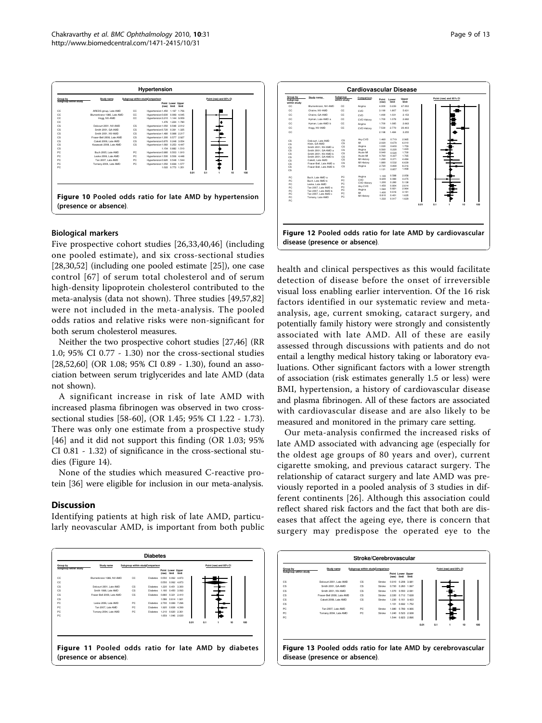<span id="page-8-0"></span>

| cc.<br>CC<br>cc.<br>cc.<br>CS<br>CS<br>CS | AREDS group, Late AMD<br>Blumenkranz 1986, Late AMD<br>Hogg, NV-AMD<br>Delcourt 2001, NV-AMD | cc.<br>CC<br>cc. | (raw) limit<br>Hypertension 1.450  1.197  1.756<br>Hypertension 0.600 0.089 4.045<br>Hypertension 3.210 1.144 9.009 | Point Lower Upper | limit |    |    |     |
|-------------------------------------------|----------------------------------------------------------------------------------------------|------------------|---------------------------------------------------------------------------------------------------------------------|-------------------|-------|----|----|-----|
|                                           |                                                                                              |                  |                                                                                                                     |                   |       |    |    |     |
|                                           |                                                                                              |                  |                                                                                                                     |                   |       |    |    |     |
|                                           |                                                                                              |                  |                                                                                                                     |                   |       |    |    |     |
|                                           |                                                                                              |                  |                                                                                                                     |                   |       |    |    |     |
|                                           |                                                                                              |                  |                                                                                                                     | 1476 1224 1780    |       |    |    |     |
|                                           |                                                                                              | CS               | Hypertension 1.050 0.548 2.012                                                                                      |                   |       |    |    |     |
|                                           | Smith 2001, GA-AMD                                                                           | CS               | Hypertension 0.720  0.391  1.325                                                                                    |                   |       |    |    |     |
|                                           | Smith 2001, NV-AMD                                                                           | CS.              | Hypertension 1,480 0,988 2,217                                                                                      |                   |       |    |    |     |
| CS                                        | Fraser-Rell 2008, Late AMD                                                                   | CS.              | Hypertension 1.300 0.577 2.927                                                                                      |                   |       |    |    |     |
| CS                                        | Cakett 2008, Late AMD                                                                        | CS.              | Hypertension 0.870 0.248 3.054                                                                                      |                   |       |    |    |     |
| CS                                        | Kawasaki 2008, Late AMD                                                                      | CS.              | Hypertension 1.060 0.253 4.447                                                                                      |                   |       |    |    |     |
| CS                                        |                                                                                              |                  |                                                                                                                     | 1154 0882 1510    |       |    |    |     |
| PC.                                       | Buch 2005, Late AMD                                                                          | PC.              | Hypertension 0.980  0.503  1.910                                                                                    |                   |       |    |    |     |
| PC.                                       | Leske 2006, Late AMD                                                                         | PC.              | Hypertension 1.500 0.506 4.448                                                                                      |                   |       |    |    |     |
| PC.                                       | Tan 2007, Late AMD                                                                           | PC.              | Hypertension 0.920  0.548  1.544                                                                                    |                   |       |    |    |     |
| PC.                                       | Tomany 2004, Late AMD                                                                        | PC.              | Hypertension 1.050 0.699 1.577                                                                                      |                   |       |    |    |     |
| PC.                                       |                                                                                              |                  |                                                                                                                     | 1.022 0.773 1.351 |       |    |    |     |
|                                           |                                                                                              |                  |                                                                                                                     |                   | 0.01  | 01 | 10 | 100 |
|                                           |                                                                                              |                  |                                                                                                                     |                   |       |    |    |     |

#### Biological markers

Five prospective cohort studies [[26,33,40](#page-11-0),[46\]](#page-11-0) (including one pooled estimate), and six cross-sectional studies [[28,30,52](#page-11-0)] (including one pooled estimate [[25\]](#page-11-0)), one case control [[67](#page-12-0)] of serum total cholesterol and of serum high-density lipoprotein cholesterol contributed to the meta-analysis (data not shown). Three studies [[49](#page-11-0),[57](#page-11-0),[82](#page-12-0)] were not included in the meta-analysis. The pooled odds ratios and relative risks were non-significant for both serum cholesterol measures.

Neither the two prospective cohort studies [\[27,46\]](#page-11-0) (RR 1.0; 95% CI 0.77 - 1.30) nor the cross-sectional studies [[28,52,60\]](#page-11-0) (OR 1.08; 95% CI 0.89 - 1.30), found an association between serum triglycerides and late AMD (data not shown).

A significant increase in risk of late AMD with increased plasma fibrinogen was observed in two crosssectional studies [[58-60](#page-11-0)], (OR 1.45; 95% CI 1.22 - 1.73). There was only one estimate from a prospective study [[46](#page-11-0)] and it did not support this finding (OR 1.03; 95% CI 0.81 - 1.32) of significance in the cross-sectional studies (Figure [14\)](#page-9-0).

None of the studies which measured C-reactive protein [[36](#page-11-0)] were eligible for inclusion in our meta-analysis.

#### **Discussion**

Identifying patients at high risk of late AMD, particularly neovascular AMD, is important from both public

| Group by<br>Subgroup within study | Study name                                           | Subgroup within studyComparison |                 |                            |                   |       |      |     | Point (raw) and 95% Cl |
|-----------------------------------|------------------------------------------------------|---------------------------------|-----------------|----------------------------|-------------------|-------|------|-----|------------------------|
|                                   |                                                      |                                 |                 | Point Lower Upper<br>(raw) | limit             | limit |      |     |                        |
| cc.                               | Riumenkranz 1986 NV-AMD                              | $\infty$                        | <b>Diahotos</b> | 0.550                      | 0.062 4.873       |       |      |     |                        |
| CC                                |                                                      |                                 |                 | 0.550                      | 0.062 4.873       |       |      |     |                        |
| CS                                | Delcourt 2001, Late AMD                              | CS                              | <b>Diahotos</b> | 1.220                      | 0.451 3.300       |       |      |     |                        |
| CS                                | Smith 1998, Late AMD                                 | CS.                             | <b>Diahotos</b> | 1.180 0.450 3.093          |                   |       |      |     |                        |
| CS                                | Fraser-Bell 2008, Late AMD                           | cs                              | <b>Diabetes</b> | 0.880 0.321 2.410          |                   |       |      |     |                        |
| CS                                |                                                      |                                 |                 | 1.095                      | 0.614 1.921       |       |      |     |                        |
| PC.                               | Leske 2006, Late AMD                                 | PC                              | <b>Diahotos</b> | 2.700 0.999 7.296          |                   |       |      |     |                        |
| PC.                               | Tan 2007 Late AMD                                    | PC.                             | <b>Diahotos</b> | 1.920                      | 0.838 4.399       |       |      |     |                        |
| PC.                               | Tomany 2004, Late AMD                                | PC.                             | <b>Diabetes</b> | 1.210                      | 0.620 2.361       |       |      |     |                        |
| PC                                |                                                      |                                 |                 |                            | 1,659 1,046 2,630 |       |      |     |                        |
|                                   |                                                      |                                 |                 |                            |                   |       | 0.01 | 0.1 | 1                      |
|                                   |                                                      |                                 |                 |                            |                   |       |      |     |                        |
|                                   |                                                      |                                 |                 |                            |                   |       |      |     |                        |
|                                   |                                                      |                                 |                 |                            |                   |       |      |     |                        |
|                                   |                                                      |                                 |                 |                            |                   |       |      |     |                        |
|                                   | Figure 11 Pooled odds ratio for late AMD by diabetes |                                 |                 |                            |                   |       |      |     |                        |
|                                   |                                                      |                                 |                 |                            |                   |       |      |     |                        |

| CC<br>Blumenkranz, NV-AMD<br>CC<br>4.000<br>0.239<br>67.002<br>Angina<br>Chaine, NV-AMD<br>CC<br>CC<br>3.190<br>1.807<br>5.631<br>cvn<br>CC<br>Chaine, GA-AMD<br>CC<br>CVD<br>1.490<br>1.031<br>2.153<br>CC<br>CC<br>1.700<br>1.078<br>2.682<br>Hyman, Late AMD a<br>CVD History<br>CC<br>CC<br>Hyman, Late AMD b<br>1.700<br>2.663<br>1.085<br>Angina<br>Hogg, NV-AMD<br>CC<br>CC<br>CVD History<br>20.403<br>7.530<br>2.779<br>CC<br>3.255<br>2.198<br>1,484<br>2.965<br>0.719<br>Any CVD<br>1,460<br>CS<br>Delcourt, Late AMD<br>CS<br>6.010<br>0.679<br>MI<br>2.020<br>CS<br>CS<br>Klein, GA-AMD<br>0.603<br>1.759<br>Angina<br>1.030<br>CS<br>Smith 2001. NV-AMD a<br>CS<br>1.423<br>0.220<br>0.560<br>CS<br>Angina<br>CS<br>Smith 2001, GA-AMD a<br>0.940<br>0.520<br>1.700<br>Acute MI<br>CS<br>Smith 2001, NV-AMD b<br>CS<br>0.327<br>Arvino MI<br>0.760<br>1.765<br>CS.<br>CS<br>Smith 2001, GA-AMD b<br>4.484<br>1,290<br>0.371<br>MI History<br>CS<br>CS<br>Cakett, Late AMD<br>1,880<br>0.532<br>6.639<br>MI History<br>CS<br>Fraser-Bell, Late AMD a<br>CS<br>8.316<br>2.720<br>0.890<br>CS<br>Angina<br>CS<br>Fraser-Bell, Late AMD b<br>1.121<br>1,468<br>0.857<br>CS<br>2.058<br>1.100<br>0.588<br>Angina<br>PC.<br>PC<br>Buch, Late AMD a<br>4.475<br>0.080<br>0.600<br>CVD<br>PC<br>PC<br>Buch, Late AMD b<br>1,200<br>0.280<br>5.138<br>CVD History<br>PC.<br>PC.<br>Leske, Late AMD<br>0.804<br>2.614<br>1,450<br>Any CVD<br>PC<br>PC<br>Tan 2007, Late AMD a<br>0.821<br>2.964<br>1.560<br>Angina<br>PC<br>PC<br>Tan 2007, Late AMD b<br>3.181<br>1,400<br>0.616<br>MI<br>PC<br>PC<br>Tan 2007, Late AMD o<br>0.401<br>1.635<br>0.810<br>MI History<br>PC.<br>PC<br>Tomany, Late AMD<br>1.222<br>0.917<br>1.629<br>PC.<br>0.01<br>0.1<br>10 | Group by<br>Subgroup<br>within study | Study name | Subgroup<br>within study | Comparison | Point<br>(raw) | <b>Lower</b><br>limit | Upper<br>limit | Point (raw) and 95% CI |
|------------------------------------------------------------------------------------------------------------------------------------------------------------------------------------------------------------------------------------------------------------------------------------------------------------------------------------------------------------------------------------------------------------------------------------------------------------------------------------------------------------------------------------------------------------------------------------------------------------------------------------------------------------------------------------------------------------------------------------------------------------------------------------------------------------------------------------------------------------------------------------------------------------------------------------------------------------------------------------------------------------------------------------------------------------------------------------------------------------------------------------------------------------------------------------------------------------------------------------------------------------------------------------------------------------------------------------------------------------------------------------------------------------------------------------------------------------------------------------------------------------------------------------------------------------------------------------------------------------------------------------------------------------------------------------------------------------------------------------------------------------------|--------------------------------------|------------|--------------------------|------------|----------------|-----------------------|----------------|------------------------|
|                                                                                                                                                                                                                                                                                                                                                                                                                                                                                                                                                                                                                                                                                                                                                                                                                                                                                                                                                                                                                                                                                                                                                                                                                                                                                                                                                                                                                                                                                                                                                                                                                                                                                                                                                                  |                                      |            |                          |            |                |                       |                |                        |
|                                                                                                                                                                                                                                                                                                                                                                                                                                                                                                                                                                                                                                                                                                                                                                                                                                                                                                                                                                                                                                                                                                                                                                                                                                                                                                                                                                                                                                                                                                                                                                                                                                                                                                                                                                  |                                      |            |                          |            |                |                       |                |                        |
|                                                                                                                                                                                                                                                                                                                                                                                                                                                                                                                                                                                                                                                                                                                                                                                                                                                                                                                                                                                                                                                                                                                                                                                                                                                                                                                                                                                                                                                                                                                                                                                                                                                                                                                                                                  |                                      |            |                          |            |                |                       |                |                        |
|                                                                                                                                                                                                                                                                                                                                                                                                                                                                                                                                                                                                                                                                                                                                                                                                                                                                                                                                                                                                                                                                                                                                                                                                                                                                                                                                                                                                                                                                                                                                                                                                                                                                                                                                                                  |                                      |            |                          |            |                |                       |                |                        |
|                                                                                                                                                                                                                                                                                                                                                                                                                                                                                                                                                                                                                                                                                                                                                                                                                                                                                                                                                                                                                                                                                                                                                                                                                                                                                                                                                                                                                                                                                                                                                                                                                                                                                                                                                                  |                                      |            |                          |            |                |                       |                |                        |
|                                                                                                                                                                                                                                                                                                                                                                                                                                                                                                                                                                                                                                                                                                                                                                                                                                                                                                                                                                                                                                                                                                                                                                                                                                                                                                                                                                                                                                                                                                                                                                                                                                                                                                                                                                  |                                      |            |                          |            |                |                       |                |                        |
|                                                                                                                                                                                                                                                                                                                                                                                                                                                                                                                                                                                                                                                                                                                                                                                                                                                                                                                                                                                                                                                                                                                                                                                                                                                                                                                                                                                                                                                                                                                                                                                                                                                                                                                                                                  |                                      |            |                          |            |                |                       |                |                        |
|                                                                                                                                                                                                                                                                                                                                                                                                                                                                                                                                                                                                                                                                                                                                                                                                                                                                                                                                                                                                                                                                                                                                                                                                                                                                                                                                                                                                                                                                                                                                                                                                                                                                                                                                                                  |                                      |            |                          |            |                |                       |                |                        |
|                                                                                                                                                                                                                                                                                                                                                                                                                                                                                                                                                                                                                                                                                                                                                                                                                                                                                                                                                                                                                                                                                                                                                                                                                                                                                                                                                                                                                                                                                                                                                                                                                                                                                                                                                                  |                                      |            |                          |            |                |                       |                | 100                    |

health and clinical perspectives as this would facilitate detection of disease before the onset of irreversible visual loss enabling earlier intervention. Of the 16 risk factors identified in our systematic review and metaanalysis, age, current smoking, cataract surgery, and potentially family history were strongly and consistently associated with late AMD. All of these are easily assessed through discussions with patients and do not entail a lengthy medical history taking or laboratory evaluations. Other significant factors with a lower strength of association (risk estimates generally 1.5 or less) were BMI, hypertension, a history of cardiovascular disease and plasma fibrinogen. All of these factors are associated with cardiovascular disease and are also likely to be measured and monitored in the primary care setting.

Our meta-analysis confirmed the increased risks of late AMD associated with advancing age (especially for the oldest age groups of 80 years and over), current cigarette smoking, and previous cataract surgery. The relationship of cataract surgery and late AMD was previously reported in a pooled analysis of 3 studies in different continents [\[26](#page-11-0)]. Although this association could reflect shared risk factors and the fact that both are diseases that affect the ageing eye, there is concern that surgery may predispose the operated eye to the

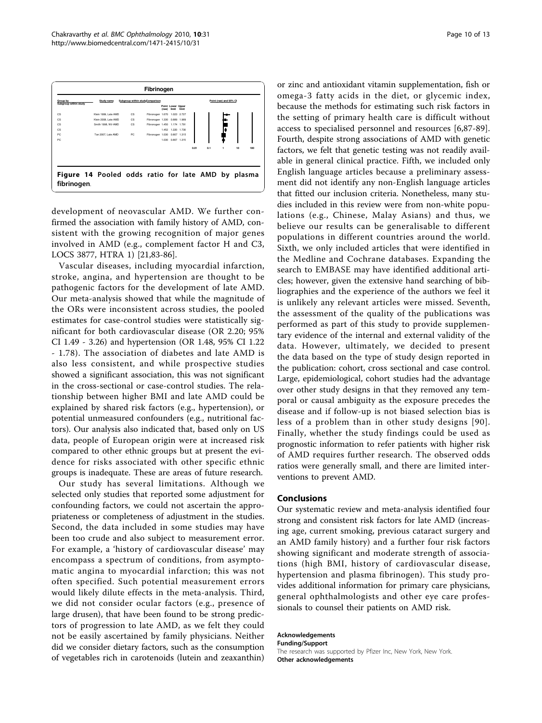<span id="page-9-0"></span>

| Group by<br>Subgroup within study                  | Study name           | Subgroup within studyComparison |                              | Point Lower Upper |       |      |     | Point (raw) and 95% CI |    |     |
|----------------------------------------------------|----------------------|---------------------------------|------------------------------|-------------------|-------|------|-----|------------------------|----|-----|
|                                                    |                      |                                 |                              | (raw) limit       | limit |      |     |                        |    |     |
| CS                                                 | Klein 1999, Late AMD | CS                              | Fibronogen 1.670 1.023 2.727 |                   |       |      |     |                        |    |     |
| CS                                                 | Klein 2008. Late AMD | CS                              | Fibronogen 1.330 0.889 1.989 |                   |       |      |     |                        |    |     |
| CS                                                 | Smith 1998, NV-AMD   | CS                              | Fibronogen 1.450 1.174 1.791 |                   |       |      |     |                        |    |     |
| CS                                                 |                      |                                 |                              | 1.452 1.220 1.730 |       |      |     |                        |    |     |
| PC.                                                | Tan 2007. Late AMD   | PC                              | Fibronogen 1.030 0.807 1.315 |                   |       |      |     |                        |    |     |
| PC.                                                |                      |                                 |                              | 1.030 0.807 1.315 |       |      |     |                        |    |     |
|                                                    |                      |                                 |                              |                   |       | 0.01 | 0.1 | 1                      | 10 | 100 |
| Figure 14 Pooled odds ratio for late AMD by plasma |                      |                                 |                              |                   |       |      |     |                        |    |     |

development of neovascular AMD. We further confirmed the association with family history of AMD, consistent with the growing recognition of major genes involved in AMD (e.g., complement factor H and C3, LOCS 3877, HTRA 1) [\[21](#page-10-0)[,83-86](#page-12-0)].

Vascular diseases, including myocardial infarction, stroke, angina, and hypertension are thought to be pathogenic factors for the development of late AMD. Our meta-analysis showed that while the magnitude of the ORs were inconsistent across studies, the pooled estimates for case-control studies were statistically significant for both cardiovascular disease (OR 2.20; 95% CI 1.49 - 3.26) and hypertension (OR 1.48, 95% CI 1.22 - 1.78). The association of diabetes and late AMD is also less consistent, and while prospective studies showed a significant association, this was not significant in the cross-sectional or case-control studies. The relationship between higher BMI and late AMD could be explained by shared risk factors (e.g., hypertension), or potential unmeasured confounders (e.g., nutritional factors). Our analysis also indicated that, based only on US data, people of European origin were at increased risk compared to other ethnic groups but at present the evidence for risks associated with other specific ethnic groups is inadequate. These are areas of future research.

Our study has several limitations. Although we selected only studies that reported some adjustment for confounding factors, we could not ascertain the appropriateness or completeness of adjustment in the studies. Second, the data included in some studies may have been too crude and also subject to measurement error. For example, a 'history of cardiovascular disease' may encompass a spectrum of conditions, from asymptomatic angina to myocardial infarction; this was not often specified. Such potential measurement errors would likely dilute effects in the meta-analysis. Third, we did not consider ocular factors (e.g., presence of large drusen), that have been found to be strong predictors of progression to late AMD, as we felt they could not be easily ascertained by family physicians. Neither did we consider dietary factors, such as the consumption of vegetables rich in carotenoids (lutein and zeaxanthin) or zinc and antioxidant vitamin supplementation, fish or omega-3 fatty acids in the diet, or glycemic index, because the methods for estimating such risk factors in the setting of primary health care is difficult without access to specialised personnel and resources [\[6](#page-10-0)[,87-89](#page-12-0)]. Fourth, despite strong associations of AMD with genetic factors, we felt that genetic testing was not readily available in general clinical practice. Fifth, we included only English language articles because a preliminary assessment did not identify any non-English language articles that fitted our inclusion criteria. Nonetheless, many studies included in this review were from non-white populations (e.g., Chinese, Malay Asians) and thus, we believe our results can be generalisable to different populations in different countries around the world. Sixth, we only included articles that were identified in the Medline and Cochrane databases. Expanding the search to EMBASE may have identified additional articles; however, given the extensive hand searching of bibliographies and the experience of the authors we feel it is unlikely any relevant articles were missed. Seventh, the assessment of the quality of the publications was performed as part of this study to provide supplementary evidence of the internal and external validity of the data. However, ultimately, we decided to present the data based on the type of study design reported in the publication: cohort, cross sectional and case control. Large, epidemiological, cohort studies had the advantage over other study designs in that they removed any temporal or causal ambiguity as the exposure precedes the disease and if follow-up is not biased selection bias is less of a problem than in other study designs [[90\]](#page-12-0). Finally, whether the study findings could be used as prognostic information to refer patients with higher risk of AMD requires further research. The observed odds ratios were generally small, and there are limited interventions to prevent AMD.

#### Conclusions

Our systematic review and meta-analysis identified four strong and consistent risk factors for late AMD (increasing age, current smoking, previous cataract surgery and an AMD family history) and a further four risk factors showing significant and moderate strength of associations (high BMI, history of cardiovascular disease, hypertension and plasma fibrinogen). This study provides additional information for primary care physicians, general ophthalmologists and other eye care professionals to counsel their patients on AMD risk.

Acknowledgements

Funding/Support

The research was supported by Pfizer Inc, New York, New York. Other acknowledgements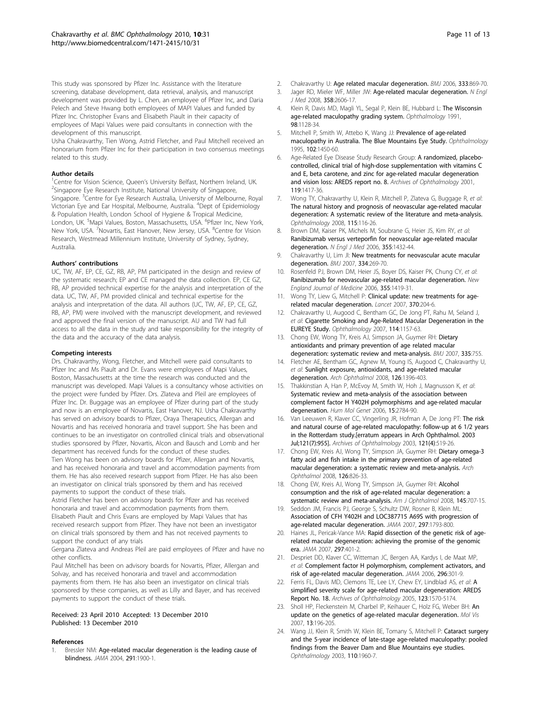<span id="page-10-0"></span>This study was sponsored by Pfizer Inc. Assistance with the literature screening, database development, data retrieval, analysis, and manuscript development was provided by L. Chen, an employee of Pfizer Inc, and Daria Pelech and Steve Hwang both employees of MAPI Values and funded by Pfizer Inc. Christopher Evans and Elisabeth Piault in their capacity of employees of Mapi Values were paid consultants in connection with the development of this manuscript.

Usha Chakravarthy, Tien Wong, Astrid Fletcher, and Paul Mitchell received an honorarium from Pfizer Inc for their participation in two consensus meetings related to this study.

#### Author details

<sup>1</sup> Centre for Vision Science, Queen's University Belfast, Northern Ireland, UK.<br><sup>2</sup>Singanore Eve Besearch Institute, National University of Singanore. <sup>2</sup>Singapore Eye Research Institute, National University of Singapore, Singapore. <sup>3</sup>Centre for Eye Research Australia, University of Melbourne, Royal Victorian Eye and Ear Hospital, Melbourne, Australia. <sup>4</sup>Dept of Epidemiology & Population Health, London School of Hygiene & Tropical Medicine, London, UK. <sup>5</sup>Mapi Values, Boston, Massachusetts, USA. <sup>6</sup>Pfizer Inc, New York, New York, USA. <sup>7</sup>Novartis, East Hanover, New Jersey, USA. <sup>8</sup>Centre for Vision Research, Westmead Millennium Institute, University of Sydney, Sydney, Australia.

#### Authors' contributions

UC, TW, AF, EP, CE, GZ, RB, AP, PM participated in the design and review of the systematic research; EP and CE managed the data collection. EP, CE GZ, RB, AP provided technical expertise for the analysis and interpretation of the data. UC, TW, AF, PM provided clinical and technical expertise for the analysis and interpretation of the data. All authors (UC, TW, AF, EP, CE, GZ, RB, AP, PM) were involved with the manuscript development, and reviewed and approved the final version of the manuscript. AU and TW had full access to all the data in the study and take responsibility for the integrity of the data and the accuracy of the data analysis.

#### Competing interests

Drs. Chakravarthy, Wong, Fletcher, and Mitchell were paid consultants to Pfizer Inc and Ms Piault and Dr. Evans were employees of Mapi Values, Boston, Massachusetts at the time the research was conducted and the manuscript was developed. Mapi Values is a consultancy whose activities on the project were funded by Pfizer. Drs. Zlateva and Pleil are employees of Pfizer Inc. Dr. Buggage was an employee of Pfizer during part of the study and now is an employee of Novartis, East Hanover, NJ. Usha Chakravarthy has served on advisory boards to Pfizer, Oraya Therapeutics, Allergan and Novartis and has received honoraria and travel support. She has been and continues to be an investigator on controlled clinical trials and observational studies sponsored by Pfizer, Novartis, Alcon and Bausch and Lomb and her department has received funds for the conduct of these studies. Tien Wong has been on advisory boards for Pfizer, Allergan and Novartis, and has received honoraria and travel and accommodation payments from them. He has also received research support from Pfizer. He has also been an investigator on clinical trials sponsored by them and has received payments to support the conduct of these trials.

Astrid Fletcher has been on advisory boards for Pfizer and has received honoraria and travel and accommodation payments from them. Elisabeth Piault and Chris Evans are employed by Mapi Values that has received research support from Pfizer. They have not been an investigator on clinical trials sponsored by them and has not received payments to support the conduct of any trials

Gergana Zlateva and Andreas Pleil are paid employees of Pfizer and have no other conflicts.

Paul Mitchell has been on advisory boards for Novartis, Pfizer, Allergan and Solvay, and has received honoraria and travel and accommodation payments from them. He has also been an investigator on clinical trials sponsored by these companies, as well as Lilly and Bayer, and has received payments to support the conduct of these trials.

#### Received: 23 April 2010 Accepted: 13 December 2010 Published: 13 December 2010

#### References

Bressler NM: [Age-related macular degeneration is the leading cause of](http://www.ncbi.nlm.nih.gov/pubmed/15108691?dopt=Abstract) [blindness.](http://www.ncbi.nlm.nih.gov/pubmed/15108691?dopt=Abstract) JAMA 2004, 291:1900-1.

- 2. Chakravarthy U: [Age related macular degeneration.](http://www.ncbi.nlm.nih.gov/pubmed/17068017?dopt=Abstract) BMJ 2006, 333:869-70.
- 3. Jager RD, Mieler WF, Miller JW: [Age-related macular degeneration.](http://www.ncbi.nlm.nih.gov/pubmed/18550876?dopt=Abstract) N Engl J Med 2008, 358:2606-17.
- 4. Klein R, Davis MD, Magli YL, Segal P, Klein BE, Hubbard L: [The Wisconsin](http://www.ncbi.nlm.nih.gov/pubmed/1843453?dopt=Abstract) [age-related maculopathy grading system.](http://www.ncbi.nlm.nih.gov/pubmed/1843453?dopt=Abstract) Ophthalmology 1991, 98:1128-34.
- 5. Mitchell P, Smith W, Attebo K, Wang JJ: [Prevalence of age-related](http://www.ncbi.nlm.nih.gov/pubmed/9097791?dopt=Abstract) [maculopathy in Australia. The Blue Mountains Eye Study.](http://www.ncbi.nlm.nih.gov/pubmed/9097791?dopt=Abstract) Ophthalmology 1995, 102:1450-60.
- 6. Age-Related Eye Disease Study Research Group: [A randomized, placebo](http://www.ncbi.nlm.nih.gov/pubmed/11594942?dopt=Abstract)[controlled, clinical trial of high-dose supplementation with vitamins C](http://www.ncbi.nlm.nih.gov/pubmed/11594942?dopt=Abstract) [and E, beta carotene, and zinc for age-related macular degeneration](http://www.ncbi.nlm.nih.gov/pubmed/11594942?dopt=Abstract) [and vision loss: AREDS report no. 8.](http://www.ncbi.nlm.nih.gov/pubmed/11594942?dopt=Abstract) Archives of Ophthalmology 2001, 119:1417-36.
- 7. Wong TY, Chakravarthy U, Klein R, Mitchell P, Zlateva G, Buggage R, et al: [The natural history and prognosis of neovascular age-related macular](http://www.ncbi.nlm.nih.gov/pubmed/17675159?dopt=Abstract) [degeneration: A systematic review of the literature and meta-analysis.](http://www.ncbi.nlm.nih.gov/pubmed/17675159?dopt=Abstract) Ophthalmology 2008, 115:116-26.
- 8. Brown DM, Kaiser PK, Michels M, Soubrane G, Heier JS, Kim RY, et al: [Ranibizumab versus verteporfin for neovascular age-related macular](http://www.ncbi.nlm.nih.gov/pubmed/17021319?dopt=Abstract) [degeneration.](http://www.ncbi.nlm.nih.gov/pubmed/17021319?dopt=Abstract) N Engl J Med 2006, 355:1432-44.
- 9. Chakravarthy U, Lim JI: [New treatments for neovascular acute macular](http://www.ncbi.nlm.nih.gov/pubmed/17289688?dopt=Abstract) [degeneration.](http://www.ncbi.nlm.nih.gov/pubmed/17289688?dopt=Abstract) *BM1* 2007, 334:269-70.
- 10. Rosenfeld PJ, Brown DM, Heier JS, Boyer DS, Kaiser PK, Chung CY, et al: [Ranibizumab for neovascular age-related macular degeneration.](http://www.ncbi.nlm.nih.gov/pubmed/17021318?dopt=Abstract) New England Journal of Medicine 2006, 355:1419-31.
- 11. Wong TY, Liew G, Mitchell P: [Clinical update: new treatments for age](http://www.ncbi.nlm.nih.gov/pubmed/17658379?dopt=Abstract)[related macular degeneration.](http://www.ncbi.nlm.nih.gov/pubmed/17658379?dopt=Abstract) Lancet 2007, 370:204-6.
- 12. Chakravarthy U, Augood C, Bentham GC, De Jong PT, Rahu M, Seland J, et al: [Cigarette Smoking and Age-Related Macular Degeneration in the](http://www.ncbi.nlm.nih.gov/pubmed/17337063?dopt=Abstract) [EUREYE Study.](http://www.ncbi.nlm.nih.gov/pubmed/17337063?dopt=Abstract) Ophthalmology 2007, 114:1157-63.
- 13. Chong EW, Wong TY, Kreis AJ, Simpson JA, Guymer RH: [Dietary](http://www.ncbi.nlm.nih.gov/pubmed/17923720?dopt=Abstract) [antioxidants and primary prevention of age related macular](http://www.ncbi.nlm.nih.gov/pubmed/17923720?dopt=Abstract) [degeneration: systematic review and meta-analysis.](http://www.ncbi.nlm.nih.gov/pubmed/17923720?dopt=Abstract) BMJ 2007, 335:755.
- 14. Fletcher AE, Bentham GC, Agnew M, Young IS, Augood C, Chakravarthy U, et al: [Sunlight exposure, antioxidants, and age-related macular](http://www.ncbi.nlm.nih.gov/pubmed/18852418?dopt=Abstract) [degeneration.](http://www.ncbi.nlm.nih.gov/pubmed/18852418?dopt=Abstract) Arch Ophthalmol 2008, 126:1396-403.
- 15. Thakkinstian A, Han P, McEvoy M, Smith W, Hoh J, Magnusson K, et al: [Systematic review and meta-analysis of the association between](http://www.ncbi.nlm.nih.gov/pubmed/16905558?dopt=Abstract) [complement factor H Y402H polymorphisms and age-related macular](http://www.ncbi.nlm.nih.gov/pubmed/16905558?dopt=Abstract) [degeneration.](http://www.ncbi.nlm.nih.gov/pubmed/16905558?dopt=Abstract) Hum Mol Genet 2006, 15:2784-90.
- Van Leeuwen R, Klaver CC, Vingerling JR, Hofman A, De Jong PT: [The risk](http://www.ncbi.nlm.nih.gov/pubmed/12695249?dopt=Abstract) [and natural course of age-related maculopathy: follow-up at 6 1/2 years](http://www.ncbi.nlm.nih.gov/pubmed/12695249?dopt=Abstract) [in the Rotterdam study.\[erratum appears in Arch Ophthalmol. 2003](http://www.ncbi.nlm.nih.gov/pubmed/12695249?dopt=Abstract) [Jul;121\(7\):955\].](http://www.ncbi.nlm.nih.gov/pubmed/12695249?dopt=Abstract) Archives of Ophthalmology 2003, 121(4):519-26.
- 17. Chong EW, Kreis AJ, Wong TY, Simpson JA, Guymer RH: [Dietary omega-3](http://www.ncbi.nlm.nih.gov/pubmed/18541848?dopt=Abstract) [fatty acid and fish intake in the primary prevention of age-related](http://www.ncbi.nlm.nih.gov/pubmed/18541848?dopt=Abstract) [macular degeneration: a systematic review and meta-analysis.](http://www.ncbi.nlm.nih.gov/pubmed/18541848?dopt=Abstract) Arch Ophthalmol 2008, 126:826-33.
- 18. Chong EW, Kreis AJ, Wong TY, Simpson JA, Guymer RH: [Alcohol](http://www.ncbi.nlm.nih.gov/pubmed/18242575?dopt=Abstract) [consumption and the risk of age-related macular degeneration: a](http://www.ncbi.nlm.nih.gov/pubmed/18242575?dopt=Abstract) [systematic review and meta-analysis.](http://www.ncbi.nlm.nih.gov/pubmed/18242575?dopt=Abstract) Am J Ophthalmol 2008, 145:707-15.
- Seddon JM, Francis PJ, George S, Schultz DW, Rosner B, Klein ML: [Association of CFH Y402H and LOC387715 A69S with progression of](http://www.ncbi.nlm.nih.gov/pubmed/17456821?dopt=Abstract) [age-related macular degeneration.](http://www.ncbi.nlm.nih.gov/pubmed/17456821?dopt=Abstract) JAMA 2007, 297:1793-800
- 20. Haines JL, Pericak-Vance MA: [Rapid dissection of the genetic risk of age](http://www.ncbi.nlm.nih.gov/pubmed/17252632?dopt=Abstract)[related macular degeneration: achieving the promise of the genomic](http://www.ncbi.nlm.nih.gov/pubmed/17252632?dopt=Abstract) [era.](http://www.ncbi.nlm.nih.gov/pubmed/17252632?dopt=Abstract) JAMA 2007, 297:401-2.
- 21. Despriet DD, Klaver CC, Witteman JC, Bergen AA, Kardys I, de Maat MP, et al: [Complement factor H polymorphism, complement activators, and](http://www.ncbi.nlm.nih.gov/pubmed/16849663?dopt=Abstract) [risk of age-related macular degeneration.](http://www.ncbi.nlm.nih.gov/pubmed/16849663?dopt=Abstract) JAMA 2006, 296:301-9.
- 22. Ferris FL, Davis MD, Clemons TE, Lee LY, Chew EY, Lindblad [A](http://www.ncbi.nlm.nih.gov/pubmed/16286620?dopt=Abstract)S, et al: A [simplified severity scale for age-related macular degeneration: AREDS](http://www.ncbi.nlm.nih.gov/pubmed/16286620?dopt=Abstract) [Report No. 18.](http://www.ncbi.nlm.nih.gov/pubmed/16286620?dopt=Abstract) Archives of Ophthalmology 2005, 123:1570-5174.
- 23. Sholl HP, Fleckenstein M, Charbel IP, Keihauer C, Holz FG, Weber BH: [An](http://www.ncbi.nlm.nih.gov/pubmed/17327825?dopt=Abstract) [update on the genetics of age-related macular degeneration.](http://www.ncbi.nlm.nih.gov/pubmed/17327825?dopt=Abstract) Mol Vis 2007, 13:196-205.
- 24. Wang JJ, Klein R, Smith W, Klein BE, Tomany S, Mitchell P: [Cataract surgery](http://www.ncbi.nlm.nih.gov/pubmed/14522772?dopt=Abstract) [and the 5-year incidence of late-stage age-related maculopathy: pooled](http://www.ncbi.nlm.nih.gov/pubmed/14522772?dopt=Abstract) [findings from the Beaver Dam and Blue Mountains eye studies.](http://www.ncbi.nlm.nih.gov/pubmed/14522772?dopt=Abstract) Ophthalmology 2003, 110:1960-7.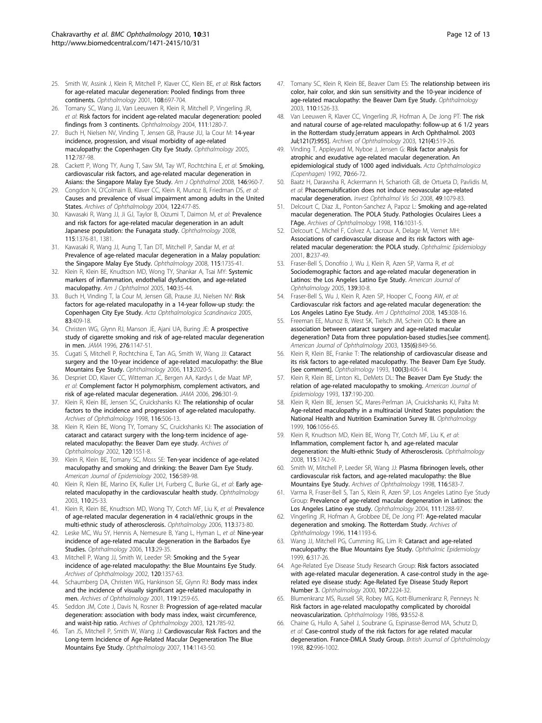- <span id="page-11-0"></span>25. Smith W, Assink J, Klein R, Mitchell P, Klaver CC, Klein BE, et al: [Risk factors](http://www.ncbi.nlm.nih.gov/pubmed/11297486?dopt=Abstract) [for age-related macular degeneration: Pooled findings from three](http://www.ncbi.nlm.nih.gov/pubmed/11297486?dopt=Abstract) [continents.](http://www.ncbi.nlm.nih.gov/pubmed/11297486?dopt=Abstract) Ophthalmology 2001, 108:697-704.
- 26. Tomany SC, Wang JJ, Van Leeuwen R, Klein R, Mitchell P, Vingerling JR, et al: [Risk factors for incident age-related macular degeneration: pooled](http://www.ncbi.nlm.nih.gov/pubmed/15234127?dopt=Abstract) [findings from 3 continents.](http://www.ncbi.nlm.nih.gov/pubmed/15234127?dopt=Abstract) Ophthalmology 2004, 111:1280-7.
- 27. Buch H, Nielsen NV, Vinding T, Jensen GB, Prause JU, la Cour M: [14-year](http://www.ncbi.nlm.nih.gov/pubmed/15878058?dopt=Abstract) [incidence, progression, and visual morbidity of age-related](http://www.ncbi.nlm.nih.gov/pubmed/15878058?dopt=Abstract) [maculopathy: the Copenhagen City Eye Study.](http://www.ncbi.nlm.nih.gov/pubmed/15878058?dopt=Abstract) Ophthalmology 2005, 112:787-98.
- 28. Cackett P, Wong TY, Aung T, Saw SM, Tay WT, Rochtchina E, et al: [Smoking,](http://www.ncbi.nlm.nih.gov/pubmed/18723144?dopt=Abstract) [cardiovascular risk factors, and age-related macular degeneration in](http://www.ncbi.nlm.nih.gov/pubmed/18723144?dopt=Abstract) [Asians: the Singapore Malay Eye Study.](http://www.ncbi.nlm.nih.gov/pubmed/18723144?dopt=Abstract) Am J Ophthalmol 2008, 146:960-7.
- 29. Congdon N, O'Colmain B, Klaver CC, Klein R, Munoz B, Friedman DS, et al: [Causes and prevalence of visual impairment among adults in the United](http://www.ncbi.nlm.nih.gov/pubmed/15078664?dopt=Abstract) [States.](http://www.ncbi.nlm.nih.gov/pubmed/15078664?dopt=Abstract) Archives of Ophthalmology 2004, 122:477-85.
- 30. Kawasaki R, Wang JJ, Ji GJ, Taylor B, Oizumi T, Daimon M, et al: [Prevalence](http://www.ncbi.nlm.nih.gov/pubmed/18222000?dopt=Abstract) [and risk factors for age-related macular degeneration in an adult](http://www.ncbi.nlm.nih.gov/pubmed/18222000?dopt=Abstract) [Japanese population: the Funagata study.](http://www.ncbi.nlm.nih.gov/pubmed/18222000?dopt=Abstract) Ophthalmology 2008, 115:1376-81, 1381.
- 31. Kawasaki R, Wang JJ, Aung T, Tan DT, Mitchell P, Sandar M, et al: [Prevalence of age-related macular degeneration in a Malay population:](http://www.ncbi.nlm.nih.gov/pubmed/18439679?dopt=Abstract) [the Singapore Malay Eye Study.](http://www.ncbi.nlm.nih.gov/pubmed/18439679?dopt=Abstract) Ophthalmology 2008, 115:1735-41.
- 32. Klein R, Klein BE, Knudtson MD, Wong TY, Shankar A, Tsai MY: [Systemic](http://www.ncbi.nlm.nih.gov/pubmed/15939388?dopt=Abstract) [markers of inflammation, endothelial dysfunction, and age-related](http://www.ncbi.nlm.nih.gov/pubmed/15939388?dopt=Abstract) [maculopathy.](http://www.ncbi.nlm.nih.gov/pubmed/15939388?dopt=Abstract) Am J Ophthalmol 2005, 140:35-44.
- 33. Buch H, Vinding T, la Cour M, Jensen GB, Prause JU, Nielsen NV: [Risk](http://www.ncbi.nlm.nih.gov/pubmed/16029262?dopt=Abstract) [factors for age-related maculopathy in a 14-year follow-up study: the](http://www.ncbi.nlm.nih.gov/pubmed/16029262?dopt=Abstract) [Copenhagen City Eye Study.](http://www.ncbi.nlm.nih.gov/pubmed/16029262?dopt=Abstract) Acta Ophthalmologica Scandinavica 2005, 83:409-18.
- 34. Christen WG, Glynn RJ, Manson JE, Ajani UA, Buring JE: [A prospective](http://www.ncbi.nlm.nih.gov/pubmed/8827967?dopt=Abstract) [study of cigarette smoking and risk of age-related macular degeneration](http://www.ncbi.nlm.nih.gov/pubmed/8827967?dopt=Abstract) [in men.](http://www.ncbi.nlm.nih.gov/pubmed/8827967?dopt=Abstract) JAMA 1996, 276:1147-51.
- 35. Cugati S, Mitchell P, Rochtchina E, Tan AG, Smith W, Wang JJ: [Cataract](http://www.ncbi.nlm.nih.gov/pubmed/16935334?dopt=Abstract) [surgery and the 10-year incidence of age-related maculopathy: the Blue](http://www.ncbi.nlm.nih.gov/pubmed/16935334?dopt=Abstract) [Mountains Eye Study.](http://www.ncbi.nlm.nih.gov/pubmed/16935334?dopt=Abstract) Ophthalmology 2006, 113:2020-5.
- 36. Despriet DD, Klaver CC, Witteman JC, Bergen AA, Kardys I, de Maat MP, et al: [Complement factor H polymorphism, complement activators, and](http://www.ncbi.nlm.nih.gov/pubmed/16849663?dopt=Abstract) [risk of age-related macular degeneration.](http://www.ncbi.nlm.nih.gov/pubmed/16849663?dopt=Abstract) JAMA 2006, 296:301-9.
- 37. Klein R, Klein BE, Jensen SC, Cruickshanks KJ: [The relationship of ocular](http://www.ncbi.nlm.nih.gov/pubmed/9565051?dopt=Abstract) [factors to the incidence and progression of age-related maculopathy.](http://www.ncbi.nlm.nih.gov/pubmed/9565051?dopt=Abstract) Archives of Ophthalmology 1998, 116:506-13.
- 38. Klein R, Klein BE, Wong TY, Tomany SC, Cruickshanks KJ: [The association of](http://www.ncbi.nlm.nih.gov/pubmed/12427071?dopt=Abstract) [cataract and cataract surgery with the long-term incidence of age](http://www.ncbi.nlm.nih.gov/pubmed/12427071?dopt=Abstract)[related maculopathy: the Beaver Dam eye study.](http://www.ncbi.nlm.nih.gov/pubmed/12427071?dopt=Abstract) Archives of Ophthalmology 2002, 120:1551-8.
- 39. Klein R, Klein BE, Tomany SC, Moss SE: [Ten-year incidence of age-related](http://www.ncbi.nlm.nih.gov/pubmed/12244027?dopt=Abstract) [maculopathy and smoking and drinking: the Beaver Dam Eye Study.](http://www.ncbi.nlm.nih.gov/pubmed/12244027?dopt=Abstract) American Journal of Epidemiology 2002, 156:589-98.
- 40. Klein R, Klein BE, Marino EK, Kuller LH, Furberg C, Burke GL, et al: [Early age](http://www.ncbi.nlm.nih.gov/pubmed/12511342?dopt=Abstract)[related maculopathy in the cardiovascular health study.](http://www.ncbi.nlm.nih.gov/pubmed/12511342?dopt=Abstract) Ophthalmology 2003, 110:25-33.
- 41. Klein R, Klein BE, Knudtson MD, Wong TY, Cotch MF, Liu K, et al: [Prevalence](http://www.ncbi.nlm.nih.gov/pubmed/16513455?dopt=Abstract) [of age-related macular degeneration in 4 racial/ethnic groups in the](http://www.ncbi.nlm.nih.gov/pubmed/16513455?dopt=Abstract) [multi-ethnic study of atherosclerosis.](http://www.ncbi.nlm.nih.gov/pubmed/16513455?dopt=Abstract) Ophthalmology 2006, 113:373-80.
- 42. Leske MC, Wu SY, Hennis A, Nemesure B, Yang L, Hyman L, et al: [Nine-year](http://www.ncbi.nlm.nih.gov/pubmed/16290049?dopt=Abstract) [incidence of age-related macular degeneration in the Barbados Eye](http://www.ncbi.nlm.nih.gov/pubmed/16290049?dopt=Abstract) [Studies.](http://www.ncbi.nlm.nih.gov/pubmed/16290049?dopt=Abstract) Ophthalmology 2006, 113:29-35.
- 43. Mitchell P, Wang JJ, Smith W, Leeder SR: [Smoking and the 5-year](http://www.ncbi.nlm.nih.gov/pubmed/12365915?dopt=Abstract) [incidence of age-related maculopathy: the Blue Mountains Eye Study.](http://www.ncbi.nlm.nih.gov/pubmed/12365915?dopt=Abstract) Archives of Ophthalmology 2002, 120:1357-63.
- 44. Schaumberg DA, Christen WG, Hankinson SE, Glynn RJ: [Body mass index](http://www.ncbi.nlm.nih.gov/pubmed/11545630?dopt=Abstract) [and the incidence of visually significant age-related maculopathy in](http://www.ncbi.nlm.nih.gov/pubmed/11545630?dopt=Abstract) [men.](http://www.ncbi.nlm.nih.gov/pubmed/11545630?dopt=Abstract) Archives of Ophthalmology 2001, 119:1259-65.
- 45. Seddon JM, Cote J, Davis N, Rosner B: [Progression of age-related macular](http://www.ncbi.nlm.nih.gov/pubmed/12796248?dopt=Abstract) [degeneration: association with body mass index, waist circumference,](http://www.ncbi.nlm.nih.gov/pubmed/12796248?dopt=Abstract) [and waist-hip ratio.](http://www.ncbi.nlm.nih.gov/pubmed/12796248?dopt=Abstract) Archives of Ophthalmology 2003, 121:785-92.
- Tan JS, Mitchell P, Smith W, Wang JJ: [Cardiovascular Risk Factors and the](http://www.ncbi.nlm.nih.gov/pubmed/17275090?dopt=Abstract) [Long-term Incidence of Age-Related Macular Degeneration The Blue](http://www.ncbi.nlm.nih.gov/pubmed/17275090?dopt=Abstract) [Mountains Eye Study.](http://www.ncbi.nlm.nih.gov/pubmed/17275090?dopt=Abstract) Ophthalmology 2007, 114:1143-50.
- 47. Tomany SC, Klein R, Klein BE, Beaver Dam ES: [The relationship between iris](http://www.ncbi.nlm.nih.gov/pubmed/12917167?dopt=Abstract) [color, hair color, and skin sun sensitivity and the 10-year incidence of](http://www.ncbi.nlm.nih.gov/pubmed/12917167?dopt=Abstract) [age-related maculopathy: the Beaver Dam Eye Study.](http://www.ncbi.nlm.nih.gov/pubmed/12917167?dopt=Abstract) Ophthalmology 2003, 110:1526-33.
- 48. Van Leeuwen R, Klaver CC, Vingerling JR, Hofman A, De Jong PT: [The risk](http://www.ncbi.nlm.nih.gov/pubmed/12695249?dopt=Abstract) [and natural course of age-related maculopathy: follow-up at 6 1/2 years](http://www.ncbi.nlm.nih.gov/pubmed/12695249?dopt=Abstract) [in the Rotterdam study.\[erratum appears in Arch Ophthalmol. 2003](http://www.ncbi.nlm.nih.gov/pubmed/12695249?dopt=Abstract) [Jul;121\(7\):955\].](http://www.ncbi.nlm.nih.gov/pubmed/12695249?dopt=Abstract) Archives of Ophthalmology 2003, 121(4):519-26.
- Vinding T, Appleyard M, Nyboe J, Jensen G: Risk factor analysis for atrophic and exudative age-related macular degeneration. An epidemiological study of 1000 aged individuals. Acta Ophthalmologica (Copenhagen) 1992, 70:66-72.
- 50. Baatz H, Darawsha R, Ackermann H, Scharioth GB, de Ortueta D, Pavlidis M, et al: [Phacoemulsification does not induce neovascular age-related](http://www.ncbi.nlm.nih.gov/pubmed/18326733?dopt=Abstract) [macular degeneration.](http://www.ncbi.nlm.nih.gov/pubmed/18326733?dopt=Abstract) Invest Ophthalmol Vis Sci 2008, 49:1079-83.
- 51. Delcourt C, Diaz JL, Ponton-Sanchez A, Papoz L: [Smoking and age-related](http://www.ncbi.nlm.nih.gov/pubmed/9715683?dopt=Abstract) [macular degeneration. The POLA Study. Pathologies Oculaires Liees a](http://www.ncbi.nlm.nih.gov/pubmed/9715683?dopt=Abstract) l'[Age.](http://www.ncbi.nlm.nih.gov/pubmed/9715683?dopt=Abstract) Archives of Ophthalmology 1998, 116:1031-5.
- Delcourt C, Michel F, Colvez A, Lacroux A, Delage M, Vernet MH: [Associations of cardiovascular disease and its risk factors with age](http://www.ncbi.nlm.nih.gov/pubmed/11471092?dopt=Abstract)[related macular degeneration: the POLA study.](http://www.ncbi.nlm.nih.gov/pubmed/11471092?dopt=Abstract) Ophthalmic Epidemiology 2001, 8:237-49.
- 53. Fraser-Bell S, Donofrio J, Wu J, Klein R, Azen SP, Varma R, et al: [Sociodemographic factors and age-related macular degeneration in](http://www.ncbi.nlm.nih.gov/pubmed/15652825?dopt=Abstract) [Latinos: the Los Angeles Latino Eye Study.](http://www.ncbi.nlm.nih.gov/pubmed/15652825?dopt=Abstract) American Journal of Ophthalmology 2005, 139:30-8.
- 54. Fraser-Bell S, Wu J, Klein R, Azen SP, Hooper C, Foong AW, et al: [Cardiovascular risk factors and age-related macular degeneration: the](http://www.ncbi.nlm.nih.gov/pubmed/18222193?dopt=Abstract) [Los Angeles Latino Eye Study.](http://www.ncbi.nlm.nih.gov/pubmed/18222193?dopt=Abstract) Am J Ophthalmol 2008, 145:308-16.
- 55. Freeman EE, Munoz B, West SK, Tielsch JM, Schein OD: [Is there an](http://www.ncbi.nlm.nih.gov/pubmed/12788126?dopt=Abstract) [association between cataract surgery and age-related macular](http://www.ncbi.nlm.nih.gov/pubmed/12788126?dopt=Abstract) [degeneration? Data from three population-based studies.\[see comment\].](http://www.ncbi.nlm.nih.gov/pubmed/12788126?dopt=Abstract) American Journal of Ophthalmology 2003, 135(6):849-56.
- 56. Klein R, Klein BE, Franke T: [The relationship of cardiovascular disease and](http://www.ncbi.nlm.nih.gov/pubmed/8460013?dopt=Abstract) [its risk factors to age-related maculopathy. The Beaver Dam Eye Study.](http://www.ncbi.nlm.nih.gov/pubmed/8460013?dopt=Abstract) [\[see comment\].](http://www.ncbi.nlm.nih.gov/pubmed/8460013?dopt=Abstract) Ophthalmology 1993, 100(3):406-14.
- 57. Klein R, Klein BE, Linton KL, DeMets DL: [The Beaver Dam Eye Study: the](http://www.ncbi.nlm.nih.gov/pubmed/8452123?dopt=Abstract) [relation of age-related maculopathy to smoking.](http://www.ncbi.nlm.nih.gov/pubmed/8452123?dopt=Abstract) American Journal of Epidemiology 1993, 137:190-200.
- 58. Klein R, Klein BE, Jensen SC, Mares-Perlman JA, Cruickshanks KJ, Palta M: [Age-related maculopathy in a multiracial United States population: the](http://www.ncbi.nlm.nih.gov/pubmed/10366071?dopt=Abstract) [National Health and Nutrition Examination Survey III.](http://www.ncbi.nlm.nih.gov/pubmed/10366071?dopt=Abstract) Ophthalmology 1999, 106:1056-65.
- 59. Klein R, Knudtson MD, Klein BE, Wong TY, Cotch MF, Liu K, et al: [Inflammation, complement factor h, and age-related macular](http://www.ncbi.nlm.nih.gov/pubmed/18538409?dopt=Abstract) [degeneration: the Multi-ethnic Study of Atherosclerosis.](http://www.ncbi.nlm.nih.gov/pubmed/18538409?dopt=Abstract) Ophthalmology 2008, 115:1742-9.
- 60. Smith W, Mitchell P, Leeder SR, Wang JJ: [Plasma fibrinogen levels, other](http://www.ncbi.nlm.nih.gov/pubmed/9596493?dopt=Abstract) [cardiovascular risk factors, and age-related maculopathy: the Blue](http://www.ncbi.nlm.nih.gov/pubmed/9596493?dopt=Abstract) [Mountains Eye Study.](http://www.ncbi.nlm.nih.gov/pubmed/9596493?dopt=Abstract) Archives of Ophthalmology 1998, 116:583-7.
- 61. Varma R, Fraser-Bell S, Tan S, Klein R, Azen SP, Los Angeles Latino Eye Study Group: [Prevalence of age-related macular degeneration in Latinos: the](http://www.ncbi.nlm.nih.gov/pubmed/15234128?dopt=Abstract) [Los Angeles Latino eye study.](http://www.ncbi.nlm.nih.gov/pubmed/15234128?dopt=Abstract) Ophthalmology 2004, 111:1288-97
- 62. Vingerling JR, Hofman A, Grobbee DE, De Jong PT: [Age-related macular](http://www.ncbi.nlm.nih.gov/pubmed/8859077?dopt=Abstract) [degeneration and smoking. The Rotterdam Study.](http://www.ncbi.nlm.nih.gov/pubmed/8859077?dopt=Abstract) Archives of Ophthalmology 1996, 114:1193-6.
- 63. Wang JJ, Mitchell PG, Cumming RG, Lim R: [Cataract and age-related](http://www.ncbi.nlm.nih.gov/pubmed/10544345?dopt=Abstract) [maculopathy: the Blue Mountains Eye Study.](http://www.ncbi.nlm.nih.gov/pubmed/10544345?dopt=Abstract) Ophthalmic Epidemiology 1999, 6:317-26.
- Age-Related Eye Disease Study Research Group: [Risk factors associated](http://www.ncbi.nlm.nih.gov/pubmed/11097601?dopt=Abstract) [with age-related macular degeneration. A case-control study in the age](http://www.ncbi.nlm.nih.gov/pubmed/11097601?dopt=Abstract)[related eye disease study: Age-Related Eye Disease Study Report](http://www.ncbi.nlm.nih.gov/pubmed/11097601?dopt=Abstract) [Number 3.](http://www.ncbi.nlm.nih.gov/pubmed/11097601?dopt=Abstract) Ophthalmology 2000, 107:2224-32.
- 65. Blumenkranz MS, Russell SR, Robey MG, Kott-Blumenkranz R, Penneys N: [Risk factors in age-related maculopathy complicated by choroidal](http://www.ncbi.nlm.nih.gov/pubmed/2425325?dopt=Abstract) [neovascularization.](http://www.ncbi.nlm.nih.gov/pubmed/2425325?dopt=Abstract) Ophthalmology 1986, 93:552-8.
- 66. Chaine G, Hullo A, Sahel J, Soubrane G, Espinasse-Berrod MA, Schutz D, et al: [Case-control study of the risk factors for age related macular](http://www.ncbi.nlm.nih.gov/pubmed/9893587?dopt=Abstract) [degeneration. France-DMLA Study Group.](http://www.ncbi.nlm.nih.gov/pubmed/9893587?dopt=Abstract) British Journal of Ophthalmology 1998, 82:996-1002.